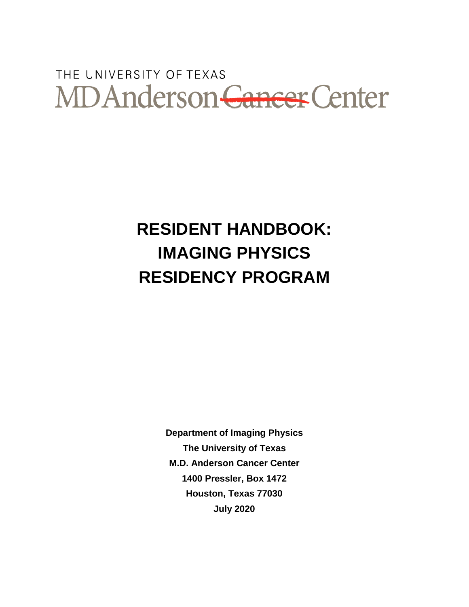# THE UNIVERSITY OF TEXAS MD Anderson Cancer Center

## **RESIDENT HANDBOOK: IMAGING PHYSICS RESIDENCY PROGRAM**

**Department of Imaging Physics The University of Texas M.D. Anderson Cancer Center 1400 Pressler, Box 1472 Houston, Texas 77030 July 2020**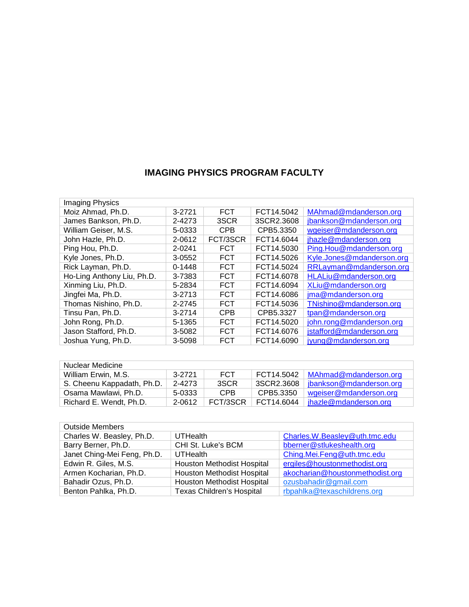## **IMAGING PHYSICS PROGRAM FACULTY**

| <b>Imaging Physics</b>     |            |            |            |                           |
|----------------------------|------------|------------|------------|---------------------------|
| Moiz Ahmad, Ph.D.          | 3-2721     | <b>FCT</b> | FCT14.5042 | MAhmad@mdanderson.org     |
| James Bankson, Ph.D.       | 2-4273     | 3SCR       | 3SCR2.3608 | jbankson@mdanderson.org   |
| William Geiser, M.S.       | 5-0333     | <b>CPB</b> | CPB5.3350  | wgeiser@mdanderson.org    |
| John Hazle, Ph.D.          | 2-0612     | FCT/3SCR   | FCT14.6044 | jhazle@mdanderson.org     |
| Ping Hou, Ph.D.            | 2-0241     | <b>FCT</b> | FCT14.5030 | Ping.Hou@mdanderson.org   |
| Kyle Jones, Ph.D.          | 3-0552     | <b>FCT</b> | FCT14.5026 | Kyle.Jones@mdanderson.org |
| Rick Layman, Ph.D.         | $0 - 1448$ | <b>FCT</b> | FCT14.5024 | RRLayman@mdanderson.org   |
| Ho-Ling Anthony Liu, Ph.D. | 3-7383     | <b>FCT</b> | FCT14.6078 | HLALiu@mdanderson.org     |
| Xinming Liu, Ph.D.         | 5-2834     | <b>FCT</b> | FCT14.6094 | XLiu@mdanderson.org       |
| Jingfei Ma, Ph.D.          | $3 - 2713$ | <b>FCT</b> | FCT14.6086 | jma@mdanderson.org        |
| Thomas Nishino, Ph.D.      | 2-2745     | <b>FCT</b> | FCT14.5036 | TNishino@mdanderson.org   |
| Tinsu Pan, Ph.D.           | $3 - 2714$ | <b>CPB</b> | CPB5.3327  | tpan@mdanderson.org       |
| John Rong, Ph.D.           | 5-1365     | <b>FCT</b> | FCT14.5020 | john.rong@mdanderson.org  |
| Jason Stafford, Ph.D.      | 3-5082     | <b>FCT</b> | FCT14.6076 | jstafford@mdanderson.org  |
| Joshua Yung, Ph.D.         | 3-5098     | <b>FCT</b> | FCT14.6090 | jyung@mdanderson.org      |

| Nuclear Medicine           |        |            |            |                         |
|----------------------------|--------|------------|------------|-------------------------|
| William Erwin, M.S.        | 3-2721 | <b>FCT</b> | FCT14.5042 | MAhmad@mdanderson.org   |
| S. Cheenu Kappadath, Ph.D. | 2-4273 | 3SCR       | 3SCR2.3608 | jbankson@mdanderson.org |
| Osama Mawlawi, Ph.D.       | 5-0333 | CPB.       | CPB5.3350  | wgeiser@mdanderson.org  |
| Richard E. Wendt. Ph.D.    | 2-0612 | FCT/3SCR   | FCT14.6044 | jhazle@mdanderson.org   |

| <b>Outside Members</b>      |                                   |                                 |
|-----------------------------|-----------------------------------|---------------------------------|
| Charles W. Beasley, Ph.D.   | <b>UTHealth</b>                   | Charles.W.Beasley@uth.tmc.edu   |
| Barry Berner, Ph.D.         | CHI St. Luke's BCM                | bberner@stlukeshealth.org       |
| Janet Ching-Mei Feng, Ph.D. | UTHealth                          | Ching.Mei.Feng@uth.tmc.edu      |
| Edwin R. Giles, M.S.        | <b>Houston Methodist Hospital</b> | ergiles@houstonmethodist.org    |
| Armen Kocharian, Ph.D.      | <b>Houston Methodist Hospital</b> | akocharian@houstonmethodist.org |
| Bahadir Ozus, Ph.D.         | <b>Houston Methodist Hospital</b> | ozusbahadir@gmail.com           |
| Benton Pahlka, Ph.D.        | <b>Texas Children's Hospital</b>  | rbpahlka@texaschildrens.org     |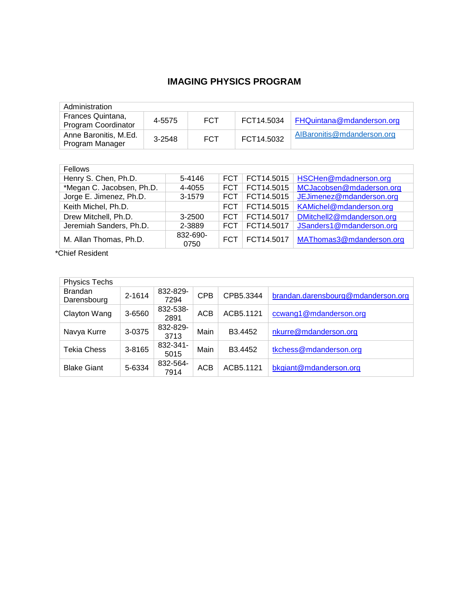## **IMAGING PHYSICS PROGRAM**

| Administration                           |        |            |            |                            |  |
|------------------------------------------|--------|------------|------------|----------------------------|--|
| Frances Quintana,<br>Program Coordinator | 4-5575 | FCT        | FCT14.5034 | FHQuintana@mdanderson.org  |  |
| Anne Baronitis, M.Ed.<br>Program Manager | 3-2548 | <b>FCT</b> | FCT14.5032 | AlBaronitis@mdanderson.org |  |

| Fellows                   |                  |            |            |                           |
|---------------------------|------------------|------------|------------|---------------------------|
| Henry S. Chen, Ph.D.      | 5-4146           | <b>FCT</b> | FCT14.5015 | HSCHen@mdadnerson.org     |
| *Megan C. Jacobsen, Ph.D. | 4-4055           | FCT.       | FCT14.5015 | MCJacobsen@mdaderson.org  |
| Jorge E. Jimenez, Ph.D.   | 3-1579           | FCT.       | FCT14.5015 | JEJimenez@mdanderson.org  |
| Keith Michel, Ph.D.       |                  | <b>FCT</b> | FCT14.5015 | KAMichel@mdanderson.org   |
| Drew Mitchell, Ph.D.      | 3-2500           | FCT.       | FCT14.5017 | DMitchell2@mdanderson.org |
| Jeremiah Sanders, Ph.D.   | 2-3889           | FCT.       | FCT14.5017 | JSanders1@mdanderson.org  |
| M. Allan Thomas, Ph.D.    | 832-690-<br>0750 | <b>FCT</b> | FCT14.5017 | MAThomas3@mdanderson.org  |

\*Chief Resident

| <b>Physics Techs</b>          |        |                  |            |                     |                                    |
|-------------------------------|--------|------------------|------------|---------------------|------------------------------------|
| <b>Brandan</b><br>Darensbourg | 2-1614 | 832-829-<br>7294 | <b>CPB</b> | CPB5.3344           | brandan.darensbourg@mdanderson.org |
| Clayton Wang                  | 3-6560 | 832-538-<br>2891 | <b>ACB</b> | ACB5.1121           | ccwang1@mdanderson.org             |
| Navya Kurre                   | 3-0375 | 832-829-<br>3713 | Main       | B <sub>3.4452</sub> | nkurre@mdanderson.org              |
| Tekia Chess                   | 3-8165 | 832-341-<br>5015 | Main       | B <sub>3.4452</sub> | tkchess@mdanderson.org             |
| <b>Blake Giant</b>            | 5-6334 | 832-564-<br>7914 | <b>ACB</b> | ACB5.1121           | bkgiant@mdanderson.org             |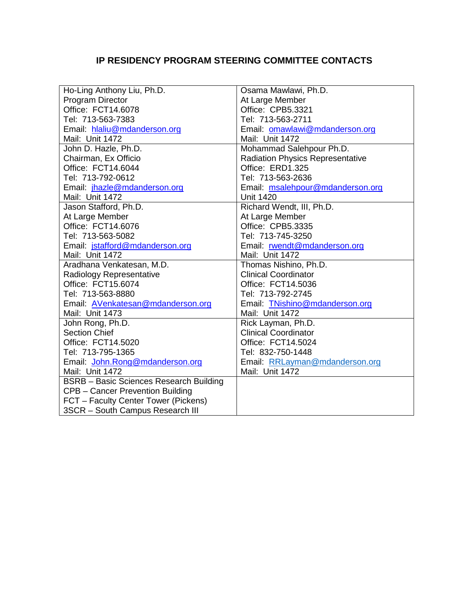## **IP RESIDENCY PROGRAM STEERING COMMITTEE CONTACTS**

| Ho-Ling Anthony Liu, Ph.D.                     | Osama Mawlawi, Ph.D.                    |
|------------------------------------------------|-----------------------------------------|
| <b>Program Director</b>                        | At Large Member                         |
| Office: FCT14.6078                             | Office: CPB5.3321                       |
| Tel: 713-563-7383                              | Tel: 713-563-2711                       |
| Email: hlaliu@mdanderson.org                   | Email: omawlawi@mdanderson.org          |
| Mail: Unit 1472                                | Mail: Unit 1472                         |
| John D. Hazle, Ph.D.                           | Mohammad Salehpour Ph.D.                |
| Chairman, Ex Officio                           | <b>Radiation Physics Representative</b> |
| Office: FCT14.6044                             | Office: ERD1.325                        |
| Tel: 713-792-0612                              | Tel: 713-563-2636                       |
| Email: jhazle@mdanderson.org                   | Email: msalehpour@mdanderson.org        |
| Mail: Unit 1472                                | <b>Unit 1420</b>                        |
| Jason Stafford, Ph.D.                          | Richard Wendt, III, Ph.D.               |
| At Large Member                                | At Large Member                         |
| Office: FCT14.6076                             | Office: CPB5.3335                       |
| Tel: 713-563-5082                              | Tel: 713-745-3250                       |
| Email: jstafford@mdanderson.org                | Email: rwendt@mdanderson.org            |
| Mail: Unit 1472                                | Mail: Unit 1472                         |
| Aradhana Venkatesan, M.D.                      | Thomas Nishino, Ph.D.                   |
| Radiology Representative                       | <b>Clinical Coordinator</b>             |
| Office: FCT15.6074                             | Office: FCT14.5036                      |
| Tel: 713-563-8880                              | Tel: 713-792-2745                       |
| Email: AVenkatesan@mdanderson.org              | Email: TNishino@mdanderson.org          |
| Mail: Unit 1473                                | Mail: Unit 1472                         |
| John Rong, Ph.D.                               | Rick Layman, Ph.D.                      |
| <b>Section Chief</b>                           | <b>Clinical Coordinator</b>             |
| Office: FCT14.5020                             | Office: FCT14.5024                      |
| Tel: 713-795-1365                              | Tel: 832-750-1448                       |
| Email: John.Rong@mdanderson.org                | Email: RRLayman@mdanderson.org          |
| Mail: Unit 1472                                | Mail: Unit 1472                         |
| <b>BSRB</b> - Basic Sciences Research Building |                                         |
| CPB - Cancer Prevention Building               |                                         |
| FCT - Faculty Center Tower (Pickens)           |                                         |
| 3SCR - South Campus Research III               |                                         |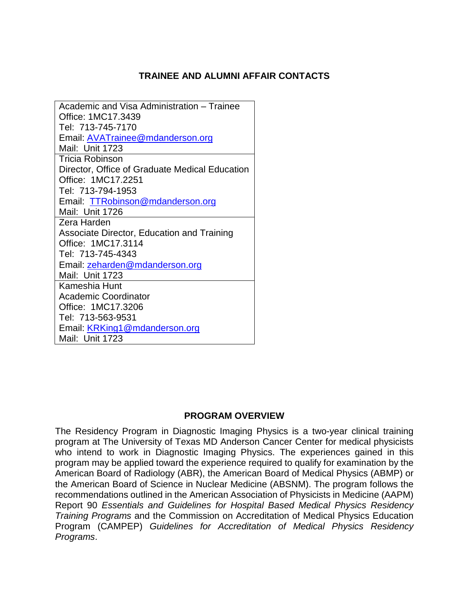## **TRAINEE AND ALUMNI AFFAIR CONTACTS**

Academic and Visa Administration – Trainee Office: 1MC17.3439 Tel: 713-745-7170 Email: [AVATrainee@mdanderson.org](mailto:AVATrainee@mdanderson.org)  Mail: Unit 1723 Tricia Robinson Director, Office of Graduate Medical Education Office: 1MC17.2251 Tel: 713-794-1953 Email: [TTRobinson@mdanderson.org](mailto:TTRobinson@mdanderson.org) Mail: Unit 1726 Zera Harden Associate Director, Education and Training Office: 1MC17.3114 Tel: 713-745-4343 Email: [zeharden@mdanderson.org](mailto:zeharden@mdanderson.org)  Mail: Unit 1723 Kameshia Hunt Academic Coordinator Office: 1MC17.3206 Tel: 713-563-9531 Email: [KRKing1@mdanderson.org](mailto:KRKing1@mdanderson.org)  Mail: Unit 1723

## **PROGRAM OVERVIEW**

The Residency Program in Diagnostic Imaging Physics is a two-year clinical training program at The University of Texas MD Anderson Cancer Center for medical physicists who intend to work in Diagnostic Imaging Physics. The experiences gained in this program may be applied toward the experience required to qualify for examination by the American Board of Radiology (ABR), the American Board of Medical Physics (ABMP) or the American Board of Science in Nuclear Medicine (ABSNM). The program follows the recommendations outlined in the American Association of Physicists in Medicine (AAPM) Report 90 *Essentials and Guidelines for Hospital Based Medical Physics Residency Training Programs* and the Commission on Accreditation of Medical Physics Education Program (CAMPEP) *Guidelines for Accreditation of Medical Physics Residency Programs*.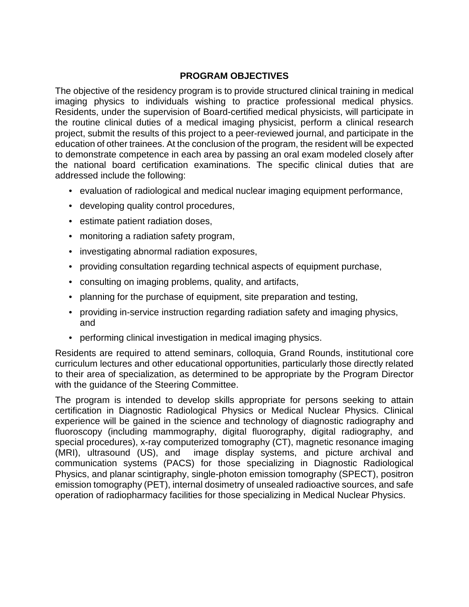## **PROGRAM OBJECTIVES**

The objective of the residency program is to provide structured clinical training in medical imaging physics to individuals wishing to practice professional medical physics. Residents, under the supervision of Board-certified medical physicists, will participate in the routine clinical duties of a medical imaging physicist, perform a clinical research project, submit the results of this project to a peer-reviewed journal, and participate in the education of other trainees. At the conclusion of the program, the resident will be expected to demonstrate competence in each area by passing an oral exam modeled closely after the national board certification examinations. The specific clinical duties that are addressed include the following:

- evaluation of radiological and medical nuclear imaging equipment performance,
- developing quality control procedures,
- estimate patient radiation doses,
- monitoring a radiation safety program,
- investigating abnormal radiation exposures,
- providing consultation regarding technical aspects of equipment purchase,
- consulting on imaging problems, quality, and artifacts,
- planning for the purchase of equipment, site preparation and testing,
- providing in-service instruction regarding radiation safety and imaging physics, and
- performing clinical investigation in medical imaging physics.

Residents are required to attend seminars, colloquia, Grand Rounds, institutional core curriculum lectures and other educational opportunities, particularly those directly related to their area of specialization, as determined to be appropriate by the Program Director with the guidance of the Steering Committee.

The program is intended to develop skills appropriate for persons seeking to attain certification in Diagnostic Radiological Physics or Medical Nuclear Physics. Clinical experience will be gained in the science and technology of diagnostic radiography and fluoroscopy (including mammography, digital fluorography, digital radiography, and special procedures), x-ray computerized tomography (CT), magnetic resonance imaging (MRI), ultrasound (US), and image display systems, and picture archival and communication systems (PACS) for those specializing in Diagnostic Radiological Physics, and planar scintigraphy, single-photon emission tomography (SPECT), positron emission tomography (PET), internal dosimetry of unsealed radioactive sources, and safe operation of radiopharmacy facilities for those specializing in Medical Nuclear Physics.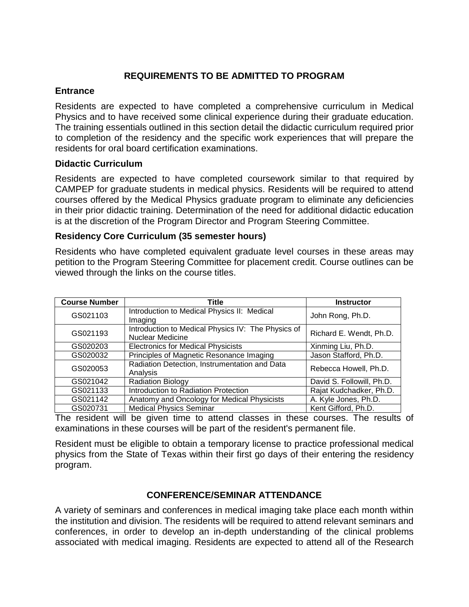## **REQUIREMENTS TO BE ADMITTED TO PROGRAM**

#### **Entrance**

Residents are expected to have completed a comprehensive curriculum in Medical Physics and to have received some clinical experience during their graduate education. The training essentials outlined in this section detail the didactic curriculum required prior to completion of the residency and the specific work experiences that will prepare the residents for oral board certification examinations.

#### **Didactic Curriculum**

Residents are expected to have completed coursework similar to that required by CAMPEP for graduate students in medical physics. Residents will be required to attend courses offered by the Medical Physics graduate program to eliminate any deficiencies in their prior didactic training. Determination of the need for additional didactic education is at the discretion of the Program Director and Program Steering Committee.

## **Residency Core Curriculum (35 semester hours)**

Residents who have completed equivalent graduate level courses in these areas may petition to the Program Steering Committee for placement credit. Course outlines can be viewed through the links on the course titles.

| <b>Course Number</b> | <b>Title</b>                                                                  | <b>Instructor</b>         |
|----------------------|-------------------------------------------------------------------------------|---------------------------|
| GS021103             | Introduction to Medical Physics II: Medical<br>Imaging                        | John Rong, Ph.D.          |
| GS021193             | Introduction to Medical Physics IV: The Physics of<br><b>Nuclear Medicine</b> | Richard E. Wendt, Ph.D.   |
| GS020203             | <b>Electronics for Medical Physicists</b>                                     | Xinming Liu, Ph.D.        |
| GS020032             | Principles of Magnetic Resonance Imaging                                      | Jason Stafford, Ph.D.     |
| GS020053             | Radiation Detection, Instrumentation and Data<br>Analysis                     | Rebecca Howell, Ph.D.     |
| GS021042             | <b>Radiation Biology</b>                                                      | David S. Followill, Ph.D. |
| GS021133             | Introduction to Radiation Protection                                          | Rajat Kudchadker, Ph.D.   |
| GS021142             | Anatomy and Oncology for Medical Physicists                                   | A. Kyle Jones, Ph.D.      |
| GS020731             | <b>Medical Physics Seminar</b>                                                | Kent Gifford, Ph.D.       |

The resident will be given time to attend classes in these courses. The results of examinations in these courses will be part of the resident's permanent file.

Resident must be eligible to obtain a temporary license to practice professional medical physics from the State of Texas within their first go days of their entering the residency program.

## **CONFERENCE/SEMINAR ATTENDANCE**

A variety of seminars and conferences in medical imaging take place each month within the institution and division. The residents will be required to attend relevant seminars and conferences, in order to develop an in-depth understanding of the clinical problems associated with medical imaging. Residents are expected to attend all of the Research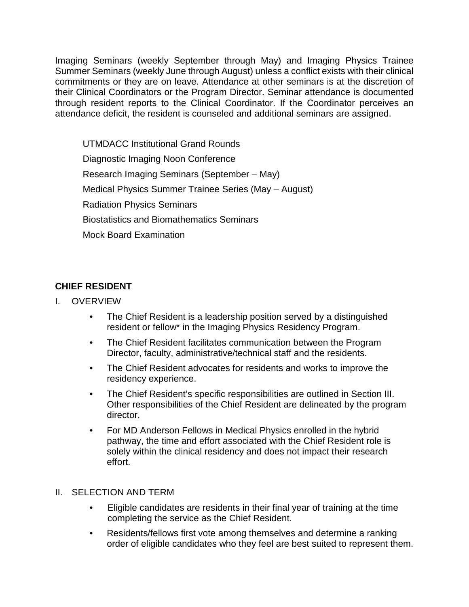Imaging Seminars (weekly September through May) and Imaging Physics Trainee Summer Seminars (weekly June through August) unless a conflict exists with their clinical commitments or they are on leave. Attendance at other seminars is at the discretion of their Clinical Coordinators or the Program Director. Seminar attendance is documented through resident reports to the Clinical Coordinator. If the Coordinator perceives an attendance deficit, the resident is counseled and additional seminars are assigned.

UTMDACC Institutional Grand Rounds Diagnostic Imaging Noon Conference Research Imaging Seminars (September – May) Medical Physics Summer Trainee Series (May – August) Radiation Physics Seminars Biostatistics and Biomathematics Seminars Mock Board Examination

## **CHIEF RESIDENT**

- I. OVERVIEW
	- The Chief Resident is a leadership position served by a distinguished resident or fellow\* in the Imaging Physics Residency Program.
	- The Chief Resident facilitates communication between the Program Director, faculty, administrative/technical staff and the residents.
	- The Chief Resident advocates for residents and works to improve the residency experience.
	- The Chief Resident's specific responsibilities are outlined in Section III. Other responsibilities of the Chief Resident are delineated by the program director.
	- For MD Anderson Fellows in Medical Physics enrolled in the hybrid pathway, the time and effort associated with the Chief Resident role is solely within the clinical residency and does not impact their research effort.

## II. SELECTION AND TERM

- Eligible candidates are residents in their final year of training at the time completing the service as the Chief Resident.
- Residents/fellows first vote among themselves and determine a ranking order of eligible candidates who they feel are best suited to represent them.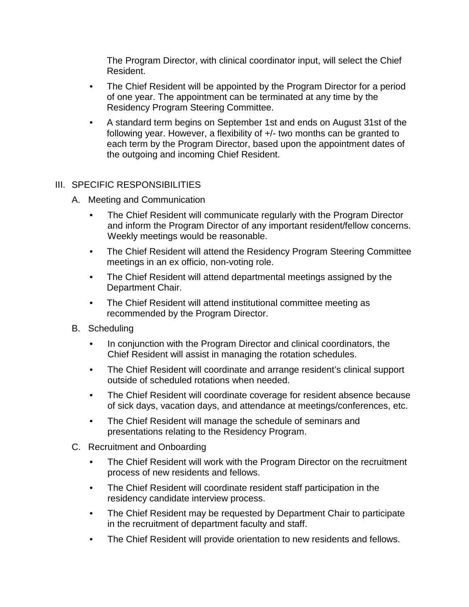The Program Director, with clinical coordinator input, will select the Chief Resident.

- The Chief Resident will be appointed by the Program Director for a period of one year. The appointment can be terminated at any time by the Residency Program Steering Committee.
- A standard term begins on September 1st and ends on August 31st of the following year. However, a flexibility of +/- two months can be granted to each term by the Program Director, based upon the appointment dates of the outgoing and incoming Chief Resident.

## III. SPECIFIC RESPONSIBILITIES

- A. Meeting and Communication
	- The Chief Resident will communicate regularly with the Program Director and inform the Program Director of any important resident/fellow concerns. Weekly meetings would be reasonable.
	- The Chief Resident will attend the Residency Program Steering Committee meetings in an ex officio, non-voting role.
	- The Chief Resident will attend departmental meetings assigned by the Department Chair.
	- The Chief Resident will attend institutional committee meeting as recommended by the Program Director.
- B. Scheduling
	- In conjunction with the Program Director and clinical coordinators, the Chief Resident will assist in managing the rotation schedules.
	- The Chief Resident will coordinate and arrange resident's clinical support outside of scheduled rotations when needed.
	- The Chief Resident will coordinate coverage for resident absence because of sick days, vacation days, and attendance at meetings/conferences, etc.
	- The Chief Resident will manage the schedule of seminars and presentations relating to the Residency Program.
- C. Recruitment and Onboarding
	- The Chief Resident will work with the Program Director on the recruitment process of new residents and fellows.
	- The Chief Resident will coordinate resident staff participation in the residency candidate interview process.
	- The Chief Resident may be requested by Department Chair to participate in the recruitment of department faculty and staff.
	- The Chief Resident will provide orientation to new residents and fellows.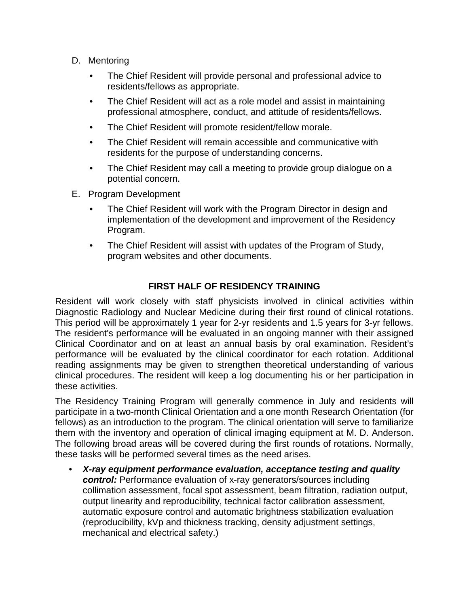- D. Mentoring
	- The Chief Resident will provide personal and professional advice to residents/fellows as appropriate.
	- The Chief Resident will act as a role model and assist in maintaining professional atmosphere, conduct, and attitude of residents/fellows.
	- The Chief Resident will promote resident/fellow morale.
	- The Chief Resident will remain accessible and communicative with residents for the purpose of understanding concerns.
	- The Chief Resident may call a meeting to provide group dialogue on a potential concern.
- E. Program Development
	- The Chief Resident will work with the Program Director in design and implementation of the development and improvement of the Residency Program.
	- The Chief Resident will assist with updates of the Program of Study, program websites and other documents.

## **FIRST HALF OF RESIDENCY TRAINING**

Resident will work closely with staff physicists involved in clinical activities within Diagnostic Radiology and Nuclear Medicine during their first round of clinical rotations. This period will be approximately 1 year for 2-yr residents and 1.5 years for 3-yr fellows. The resident's performance will be evaluated in an ongoing manner with their assigned Clinical Coordinator and on at least an annual basis by oral examination. Resident's performance will be evaluated by the clinical coordinator for each rotation. Additional reading assignments may be given to strengthen theoretical understanding of various clinical procedures. The resident will keep a log documenting his or her participation in these activities.

The Residency Training Program will generally commence in July and residents will participate in a two-month Clinical Orientation and a one month Research Orientation (for fellows) as an introduction to the program. The clinical orientation will serve to familiarize them with the inventory and operation of clinical imaging equipment at M. D. Anderson. The following broad areas will be covered during the first rounds of rotations. Normally, these tasks will be performed several times as the need arises.

• *X-ray equipment performance evaluation, acceptance testing and quality control:* Performance evaluation of x-ray generators/sources including collimation assessment, focal spot assessment, beam filtration, radiation output, output linearity and reproducibility, technical factor calibration assessment, automatic exposure control and automatic brightness stabilization evaluation (reproducibility, kVp and thickness tracking, density adjustment settings, mechanical and electrical safety.)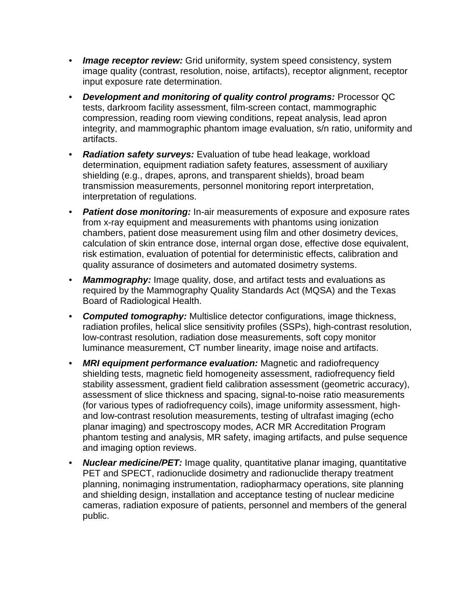- *Image receptor review:* Grid uniformity, system speed consistency, system image quality (contrast, resolution, noise, artifacts), receptor alignment, receptor input exposure rate determination.
- *Development and monitoring of quality control programs:* Processor QC tests, darkroom facility assessment, film-screen contact, mammographic compression, reading room viewing conditions, repeat analysis, lead apron integrity, and mammographic phantom image evaluation, s/n ratio, uniformity and artifacts.
- *Radiation safety surveys:* Evaluation of tube head leakage, workload determination, equipment radiation safety features, assessment of auxiliary shielding (e.g., drapes, aprons, and transparent shields), broad beam transmission measurements, personnel monitoring report interpretation, interpretation of regulations.
- *Patient dose monitoring:* In-air measurements of exposure and exposure rates from x-ray equipment and measurements with phantoms using ionization chambers, patient dose measurement using film and other dosimetry devices, calculation of skin entrance dose, internal organ dose, effective dose equivalent, risk estimation, evaluation of potential for deterministic effects, calibration and quality assurance of dosimeters and automated dosimetry systems.
- *Mammography:* Image quality, dose, and artifact tests and evaluations as required by the Mammography Quality Standards Act (MQSA) and the Texas Board of Radiological Health.
- *Computed tomography:* Multislice detector configurations, image thickness, radiation profiles, helical slice sensitivity profiles (SSPs), high-contrast resolution, low-contrast resolution, radiation dose measurements, soft copy monitor luminance measurement, CT number linearity, image noise and artifacts.
- *MRI equipment performance evaluation:* Magnetic and radiofrequency shielding tests, magnetic field homogeneity assessment, radiofrequency field stability assessment, gradient field calibration assessment (geometric accuracy), assessment of slice thickness and spacing, signal-to-noise ratio measurements (for various types of radiofrequency coils), image uniformity assessment, highand low-contrast resolution measurements, testing of ultrafast imaging (echo planar imaging) and spectroscopy modes, ACR MR Accreditation Program phantom testing and analysis, MR safety, imaging artifacts, and pulse sequence and imaging option reviews.
- *Nuclear medicine/PET:* Image quality, quantitative planar imaging, quantitative PET and SPECT, radionuclide dosimetry and radionuclide therapy treatment planning, nonimaging instrumentation, radiopharmacy operations, site planning and shielding design, installation and acceptance testing of nuclear medicine cameras, radiation exposure of patients, personnel and members of the general public.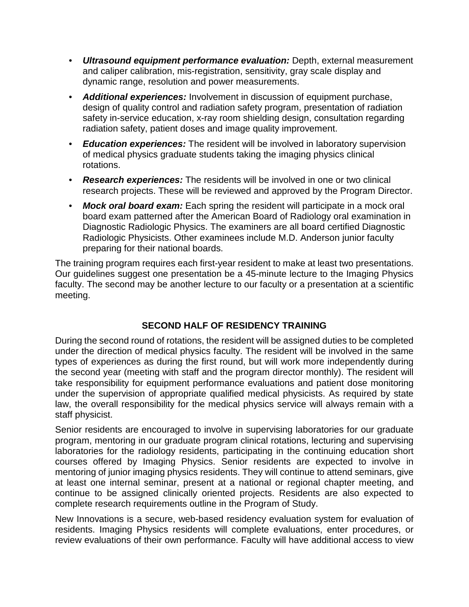- *Ultrasound equipment performance evaluation:* Depth, external measurement and caliper calibration, mis-registration, sensitivity, gray scale display and dynamic range, resolution and power measurements.
- *Additional experiences:* Involvement in discussion of equipment purchase, design of quality control and radiation safety program, presentation of radiation safety in-service education, x-ray room shielding design, consultation regarding radiation safety, patient doses and image quality improvement.
- *Education experiences:* The resident will be involved in laboratory supervision of medical physics graduate students taking the imaging physics clinical rotations.
- *Research experiences:* The residents will be involved in one or two clinical research projects. These will be reviewed and approved by the Program Director.
- *Mock oral board exam:* Each spring the resident will participate in a mock oral board exam patterned after the American Board of Radiology oral examination in Diagnostic Radiologic Physics. The examiners are all board certified Diagnostic Radiologic Physicists. Other examinees include M.D. Anderson junior faculty preparing for their national boards.

The training program requires each first-year resident to make at least two presentations. Our guidelines suggest one presentation be a 45-minute lecture to the Imaging Physics faculty. The second may be another lecture to our faculty or a presentation at a scientific meeting.

## **SECOND HALF OF RESIDENCY TRAINING**

During the second round of rotations, the resident will be assigned duties to be completed under the direction of medical physics faculty. The resident will be involved in the same types of experiences as during the first round, but will work more independently during the second year (meeting with staff and the program director monthly). The resident will take responsibility for equipment performance evaluations and patient dose monitoring under the supervision of appropriate qualified medical physicists. As required by state law, the overall responsibility for the medical physics service will always remain with a staff physicist.

Senior residents are encouraged to involve in supervising laboratories for our graduate program, mentoring in our graduate program clinical rotations, lecturing and supervising laboratories for the radiology residents, participating in the continuing education short courses offered by Imaging Physics. Senior residents are expected to involve in mentoring of junior imaging physics residents. They will continue to attend seminars, give at least one internal seminar, present at a national or regional chapter meeting, and continue to be assigned clinically oriented projects. Residents are also expected to complete research requirements outline in the Program of Study.

New Innovations is a secure, web-based residency evaluation system for evaluation of residents. Imaging Physics residents will complete evaluations, enter procedures, or review evaluations of their own performance. Faculty will have additional access to view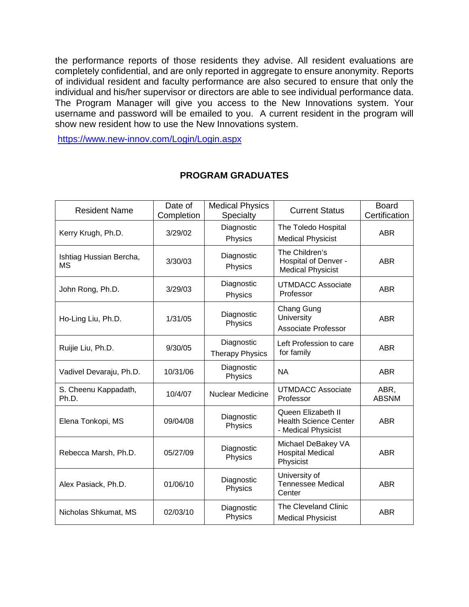the performance reports of those residents they advise. All resident evaluations are completely confidential, and are only reported in aggregate to ensure anonymity. Reports of individual resident and faculty performance are also secured to ensure that only the individual and his/her supervisor or directors are able to see individual performance data. The Program Manager will give you access to the New Innovations system. Your username and password will be emailed to you. A current resident in the program will show new resident how to use the New Innovations system.

<https://www.new-innov.com/Login/Login.aspx>

| <b>Resident Name</b>                 | Date of<br>Completion | <b>Medical Physics</b><br>Specialty  | <b>Current Status</b>                                                     | <b>Board</b><br>Certification |
|--------------------------------------|-----------------------|--------------------------------------|---------------------------------------------------------------------------|-------------------------------|
| Kerry Krugh, Ph.D.                   | 3/29/02               | Diagnostic<br>Physics                | The Toledo Hospital<br><b>Medical Physicist</b>                           | <b>ABR</b>                    |
| Ishtiag Hussian Bercha,<br><b>MS</b> | 3/30/03               | Diagnostic<br>Physics                | The Children's<br>Hospital of Denver -<br><b>Medical Physicist</b>        | <b>ABR</b>                    |
| John Rong, Ph.D.                     | 3/29/03               | Diagnostic<br>Physics                | <b>UTMDACC Associate</b><br>Professor                                     | <b>ABR</b>                    |
| Ho-Ling Liu, Ph.D.                   | 1/31/05               | Diagnostic<br>Physics                | Chang Gung<br>University<br><b>Associate Professor</b>                    | <b>ABR</b>                    |
| Ruijie Liu, Ph.D.                    | 9/30/05               | Diagnostic<br><b>Therapy Physics</b> | Left Profession to care<br>for family                                     | <b>ABR</b>                    |
| Vadivel Devaraju, Ph.D.              | 10/31/06              | Diagnostic<br>Physics                | <b>NA</b>                                                                 | <b>ABR</b>                    |
| S. Cheenu Kappadath,<br>Ph.D.        | 10/4/07               | Nuclear Medicine                     | <b>UTMDACC Associate</b><br>Professor                                     | ABR,<br><b>ABSNM</b>          |
| Elena Tonkopi, MS                    | 09/04/08              | Diagnostic<br>Physics                | Queen Elizabeth II<br><b>Health Science Center</b><br>- Medical Physicist | <b>ABR</b>                    |
| Rebecca Marsh, Ph.D.                 | 05/27/09              | Diagnostic<br>Physics                | Michael DeBakey VA<br><b>Hospital Medical</b><br>Physicist                | <b>ABR</b>                    |
| Alex Pasiack, Ph.D.                  | 01/06/10              | Diagnostic<br>Physics                | University of<br><b>Tennessee Medical</b><br>Center                       | <b>ABR</b>                    |
| Nicholas Shkumat, MS                 | 02/03/10              | Diagnostic<br>Physics                | The Cleveland Clinic<br><b>Medical Physicist</b>                          | <b>ABR</b>                    |

## **PROGRAM GRADUATES**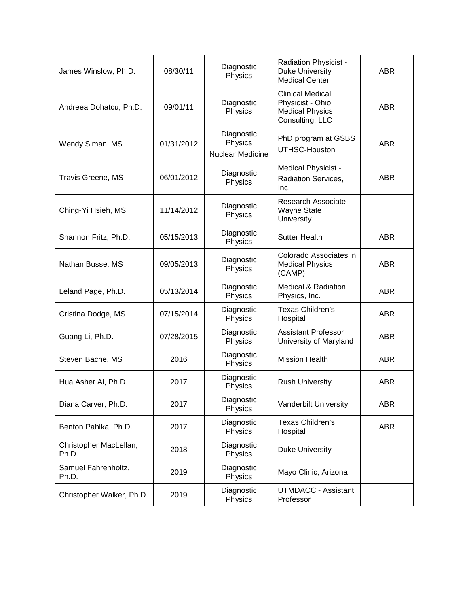| James Winslow, Ph.D.            | 08/30/11   | Diagnostic<br>Physics                            | Radiation Physicist -<br><b>Duke University</b><br><b>Medical Center</b>                 | <b>ABR</b> |
|---------------------------------|------------|--------------------------------------------------|------------------------------------------------------------------------------------------|------------|
| Andreea Dohatcu, Ph.D.          | 09/01/11   | Diagnostic<br>Physics                            | <b>Clinical Medical</b><br>Physicist - Ohio<br><b>Medical Physics</b><br>Consulting, LLC | <b>ABR</b> |
| Wendy Siman, MS                 | 01/31/2012 | Diagnostic<br>Physics<br><b>Nuclear Medicine</b> | PhD program at GSBS<br>UTHSC-Houston                                                     | <b>ABR</b> |
| Travis Greene, MS               | 06/01/2012 | Diagnostic<br>Physics                            | Medical Physicist -<br>Radiation Services,<br>Inc.                                       | <b>ABR</b> |
| Ching-Yi Hsieh, MS              | 11/14/2012 | Diagnostic<br>Physics                            | Research Associate -<br><b>Wayne State</b><br>University                                 |            |
| Shannon Fritz, Ph.D.            | 05/15/2013 | Diagnostic<br>Physics                            | <b>Sutter Health</b>                                                                     | <b>ABR</b> |
| Nathan Busse, MS                | 09/05/2013 | Diagnostic<br>Physics                            | Colorado Associates in<br><b>Medical Physics</b><br>(CAMP)                               | <b>ABR</b> |
| Leland Page, Ph.D.              | 05/13/2014 | Diagnostic<br>Physics                            | <b>Medical &amp; Radiation</b><br>Physics, Inc.                                          | <b>ABR</b> |
| Cristina Dodge, MS              | 07/15/2014 | Diagnostic<br>Physics                            | Texas Children's<br>Hospital                                                             | <b>ABR</b> |
| Guang Li, Ph.D.                 | 07/28/2015 | Diagnostic<br>Physics                            | <b>Assistant Professor</b><br>University of Maryland                                     | <b>ABR</b> |
| Steven Bache, MS                | 2016       | Diagnostic<br>Physics                            | <b>Mission Health</b>                                                                    | <b>ABR</b> |
| Hua Asher Ai, Ph.D.             | 2017       | Diagnostic<br>Physics                            | <b>Rush University</b>                                                                   | <b>ABR</b> |
| Diana Carver, Ph.D.             | 2017       | Diagnostic<br>Physics                            | Vanderbilt University                                                                    | <b>ABR</b> |
| Benton Pahlka, Ph.D.            | 2017       | Diagnostic<br>Physics                            | Texas Children's<br>Hospital                                                             | <b>ABR</b> |
| Christopher MacLellan,<br>Ph.D. | 2018       | Diagnostic<br>Physics                            | <b>Duke University</b>                                                                   |            |
| Samuel Fahrenholtz,<br>Ph.D.    | 2019       | Diagnostic<br>Physics                            | Mayo Clinic, Arizona                                                                     |            |
| Christopher Walker, Ph.D.       | 2019       | Diagnostic<br>Physics                            | <b>UTMDACC - Assistant</b><br>Professor                                                  |            |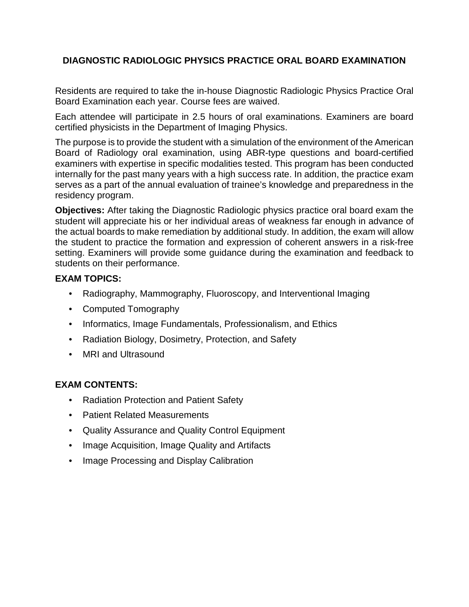## **DIAGNOSTIC RADIOLOGIC PHYSICS PRACTICE ORAL BOARD EXAMINATION**

Residents are required to take the in-house Diagnostic Radiologic Physics Practice Oral Board Examination each year. Course fees are waived.

Each attendee will participate in 2.5 hours of oral examinations. Examiners are board certified physicists in the Department of Imaging Physics.

The purpose is to provide the student with a simulation of the environment of the American Board of Radiology oral examination, using ABR-type questions and board-certified examiners with expertise in specific modalities tested. This program has been conducted internally for the past many years with a high success rate. In addition, the practice exam serves as a part of the annual evaluation of trainee's knowledge and preparedness in the residency program.

**Objectives:** After taking the Diagnostic Radiologic physics practice oral board exam the student will appreciate his or her individual areas of weakness far enough in advance of the actual boards to make remediation by additional study. In addition, the exam will allow the student to practice the formation and expression of coherent answers in a risk-free setting. Examiners will provide some guidance during the examination and feedback to students on their performance.

## **EXAM TOPICS:**

- Radiography, Mammography, Fluoroscopy, and Interventional Imaging
- Computed Tomography
- Informatics, Image Fundamentals, Professionalism, and Ethics
- Radiation Biology, Dosimetry, Protection, and Safety
- MRI and Ultrasound

## **EXAM CONTENTS:**

- Radiation Protection and Patient Safety
- Patient Related Measurements
- Quality Assurance and Quality Control Equipment
- Image Acquisition, Image Quality and Artifacts
- Image Processing and Display Calibration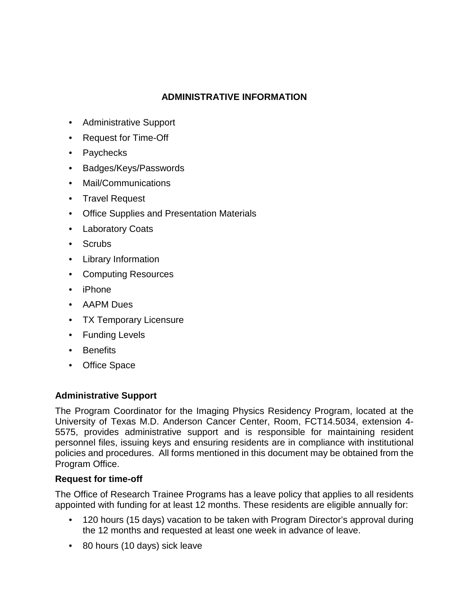## **ADMINISTRATIVE INFORMATION**

- Administrative Support
- Request for Time-Off
- Paychecks
- Badges/Keys/Passwords
- Mail/Communications
- Travel Request
- Office Supplies and Presentation Materials
- Laboratory Coats
- Scrubs
- Library Information
- Computing Resources
- iPhone
- AAPM Dues
- TX Temporary Licensure
- Funding Levels
- Benefits
- Office Space

## **Administrative Support**

The Program Coordinator for the Imaging Physics Residency Program, located at the University of Texas M.D. Anderson Cancer Center, Room, FCT14.5034, extension 4- 5575, provides administrative support and is responsible for maintaining resident personnel files, issuing keys and ensuring residents are in compliance with institutional policies and procedures. All forms mentioned in this document may be obtained from the Program Office.

## **Request for time-off**

The Office of Research Trainee Programs has a leave policy that applies to all residents appointed with funding for at least 12 months. These residents are eligible annually for:

- 120 hours (15 days) vacation to be taken with Program Director's approval during the 12 months and requested at least one week in advance of leave.
- 80 hours (10 days) sick leave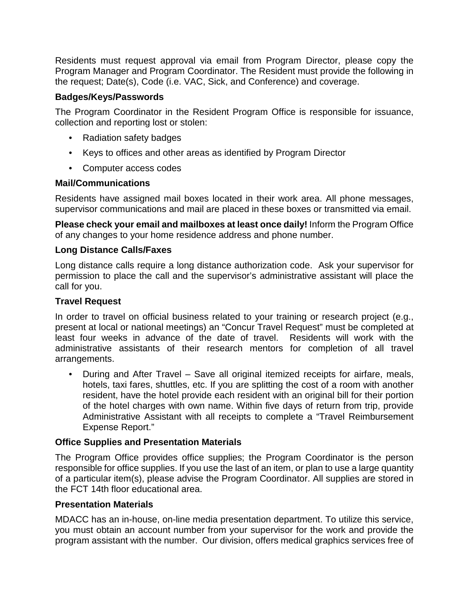Residents must request approval via email from Program Director, please copy the Program Manager and Program Coordinator. The Resident must provide the following in the request; Date(s), Code (i.e. VAC, Sick, and Conference) and coverage.

## **Badges/Keys/Passwords**

The Program Coordinator in the Resident Program Office is responsible for issuance, collection and reporting lost or stolen:

- Radiation safety badges
- Keys to offices and other areas as identified by Program Director
- Computer access codes

## **Mail/Communications**

Residents have assigned mail boxes located in their work area. All phone messages, supervisor communications and mail are placed in these boxes or transmitted via email.

**Please check your email and mailboxes at least once daily!** Inform the Program Office of any changes to your home residence address and phone number.

## **Long Distance Calls/Faxes**

Long distance calls require a long distance authorization code. Ask your supervisor for permission to place the call and the supervisor's administrative assistant will place the call for you.

#### **Travel Request**

In order to travel on official business related to your training or research project (e.g., present at local or national meetings) an "Concur Travel Request" must be completed at least four weeks in advance of the date of travel. Residents will work with the administrative assistants of their research mentors for completion of all travel arrangements.

• During and After Travel – Save all original itemized receipts for airfare, meals, hotels, taxi fares, shuttles, etc. If you are splitting the cost of a room with another resident, have the hotel provide each resident with an original bill for their portion of the hotel charges with own name. Within five days of return from trip, provide Administrative Assistant with all receipts to complete a "Travel Reimbursement Expense Report."

## **Office Supplies and Presentation Materials**

The Program Office provides office supplies; the Program Coordinator is the person responsible for office supplies. If you use the last of an item, or plan to use a large quantity of a particular item(s), please advise the Program Coordinator. All supplies are stored in the FCT 14th floor educational area.

## **Presentation Materials**

MDACC has an in-house, on-line media presentation department. To utilize this service, you must obtain an account number from your supervisor for the work and provide the program assistant with the number. Our division, offers medical graphics services free of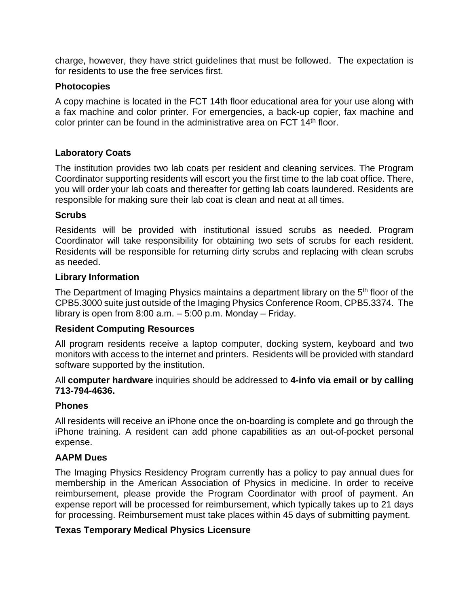charge, however, they have strict guidelines that must be followed. The expectation is for residents to use the free services first.

#### **Photocopies**

A copy machine is located in the FCT 14th floor educational area for your use along with a fax machine and color printer. For emergencies, a back-up copier, fax machine and color printer can be found in the administrative area on FCT 14<sup>th</sup> floor.

## **Laboratory Coats**

The institution provides two lab coats per resident and cleaning services. The Program Coordinator supporting residents will escort you the first time to the lab coat office. There, you will order your lab coats and thereafter for getting lab coats laundered. Residents are responsible for making sure their lab coat is clean and neat at all times.

#### **Scrubs**

Residents will be provided with institutional issued scrubs as needed. Program Coordinator will take responsibility for obtaining two sets of scrubs for each resident. Residents will be responsible for returning dirty scrubs and replacing with clean scrubs as needed.

#### **Library Information**

The Department of Imaging Physics maintains a department library on the 5<sup>th</sup> floor of the CPB5.3000 suite just outside of the Imaging Physics Conference Room, CPB5.3374. The library is open from 8:00 a.m. – 5:00 p.m. Monday – Friday.

## **Resident Computing Resources**

All program residents receive a laptop computer, docking system, keyboard and two monitors with access to the internet and printers. Residents will be provided with standard software supported by the institution.

All **computer hardware** inquiries should be addressed to **4-info via email or by calling 713-794-4636.**

#### **Phones**

All residents will receive an iPhone once the on-boarding is complete and go through the iPhone training. A resident can add phone capabilities as an out-of-pocket personal expense.

## **AAPM Dues**

The Imaging Physics Residency Program currently has a policy to pay annual dues for membership in the American Association of Physics in medicine. In order to receive reimbursement, please provide the Program Coordinator with proof of payment. An expense report will be processed for reimbursement, which typically takes up to 21 days for processing. Reimbursement must take places within 45 days of submitting payment.

#### **Texas Temporary Medical Physics Licensure**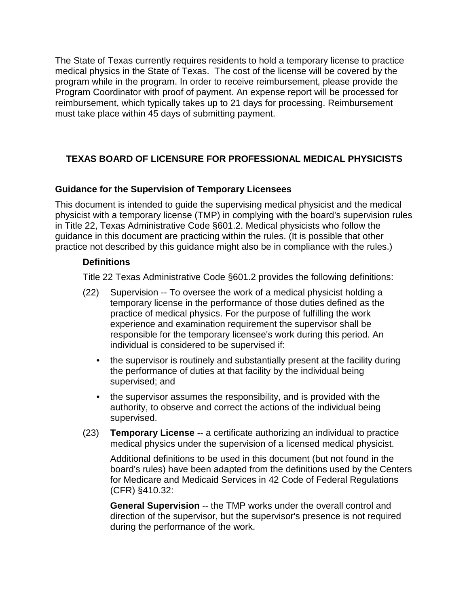The State of Texas currently requires residents to hold a temporary license to practice medical physics in the State of Texas. The cost of the license will be covered by the program while in the program. In order to receive reimbursement, please provide the Program Coordinator with proof of payment. An expense report will be processed for reimbursement, which typically takes up to 21 days for processing. Reimbursement must take place within 45 days of submitting payment.

## **TEXAS BOARD OF LICENSURE FOR PROFESSIONAL MEDICAL PHYSICISTS**

## **Guidance for the Supervision of Temporary Licensees**

This document is intended to guide the supervising medical physicist and the medical physicist with a temporary license (TMP) in complying with the board's supervision rules in Title 22, Texas Administrative Code §601.2. Medical physicists who follow the guidance in this document are practicing within the rules. (It is possible that other practice not described by this guidance might also be in compliance with the rules.)

#### **Definitions**

Title 22 Texas Administrative Code §601.2 provides the following definitions:

- (22) Supervision -- To oversee the work of a medical physicist holding a temporary license in the performance of those duties defined as the practice of medical physics. For the purpose of fulfilling the work experience and examination requirement the supervisor shall be responsible for the temporary licensee's work during this period. An individual is considered to be supervised if:
	- the supervisor is routinely and substantially present at the facility during the performance of duties at that facility by the individual being supervised; and
	- the supervisor assumes the responsibility, and is provided with the authority, to observe and correct the actions of the individual being supervised.
- (23) **Temporary License** -- a certificate authorizing an individual to practice medical physics under the supervision of a licensed medical physicist.

Additional definitions to be used in this document (but not found in the board's rules) have been adapted from the definitions used by the Centers for Medicare and Medicaid Services in 42 Code of Federal Regulations (CFR) §410.32:

**General Supervision** -- the TMP works under the overall control and direction of the supervisor, but the supervisor's presence is not required during the performance of the work.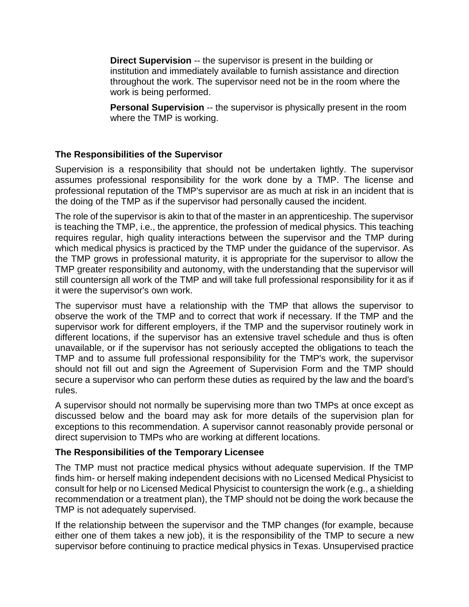**Direct Supervision** -- the supervisor is present in the building or institution and immediately available to furnish assistance and direction throughout the work. The supervisor need not be in the room where the work is being performed.

**Personal Supervision** -- the supervisor is physically present in the room where the TMP is working.

## **The Responsibilities of the Supervisor**

Supervision is a responsibility that should not be undertaken lightly. The supervisor assumes professional responsibility for the work done by a TMP. The license and professional reputation of the TMP's supervisor are as much at risk in an incident that is the doing of the TMP as if the supervisor had personally caused the incident.

The role of the supervisor is akin to that of the master in an apprenticeship. The supervisor is teaching the TMP, i.e., the apprentice, the profession of medical physics. This teaching requires regular, high quality interactions between the supervisor and the TMP during which medical physics is practiced by the TMP under the guidance of the supervisor. As the TMP grows in professional maturity, it is appropriate for the supervisor to allow the TMP greater responsibility and autonomy, with the understanding that the supervisor will still countersign all work of the TMP and will take full professional responsibility for it as if it were the supervisor's own work.

The supervisor must have a relationship with the TMP that allows the supervisor to observe the work of the TMP and to correct that work if necessary. If the TMP and the supervisor work for different employers, if the TMP and the supervisor routinely work in different locations, if the supervisor has an extensive travel schedule and thus is often unavailable, or if the supervisor has not seriously accepted the obligations to teach the TMP and to assume full professional responsibility for the TMP's work, the supervisor should not fill out and sign the Agreement of Supervision Form and the TMP should secure a supervisor who can perform these duties as required by the law and the board's rules.

A supervisor should not normally be supervising more than two TMPs at once except as discussed below and the board may ask for more details of the supervision plan for exceptions to this recommendation. A supervisor cannot reasonably provide personal or direct supervision to TMPs who are working at different locations.

## **The Responsibilities of the Temporary Licensee**

The TMP must not practice medical physics without adequate supervision. If the TMP finds him- or herself making independent decisions with no Licensed Medical Physicist to consult for help or no Licensed Medical Physicist to countersign the work (e.g., a shielding recommendation or a treatment plan), the TMP should not be doing the work because the TMP is not adequately supervised.

If the relationship between the supervisor and the TMP changes (for example, because either one of them takes a new job), it is the responsibility of the TMP to secure a new supervisor before continuing to practice medical physics in Texas. Unsupervised practice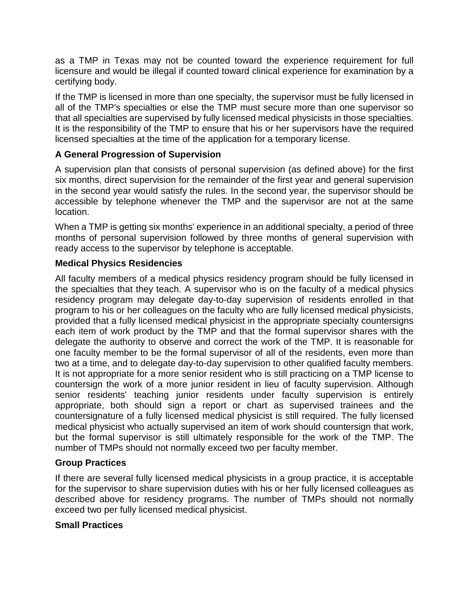as a TMP in Texas may not be counted toward the experience requirement for full licensure and would be illegal if counted toward clinical experience for examination by a certifying body.

If the TMP is licensed in more than one specialty, the supervisor must be fully licensed in all of the TMP's specialties or else the TMP must secure more than one supervisor so that all specialties are supervised by fully licensed medical physicists in those specialties. It is the responsibility of the TMP to ensure that his or her supervisors have the required licensed specialties at the time of the application for a temporary license.

## **A General Progression of Supervision**

A supervision plan that consists of personal supervision (as defined above) for the first six months, direct supervision for the remainder of the first year and general supervision in the second year would satisfy the rules. In the second year, the supervisor should be accessible by telephone whenever the TMP and the supervisor are not at the same location.

When a TMP is getting six months' experience in an additional specialty, a period of three months of personal supervision followed by three months of general supervision with ready access to the supervisor by telephone is acceptable.

## **Medical Physics Residencies**

All faculty members of a medical physics residency program should be fully licensed in the specialties that they teach. A supervisor who is on the faculty of a medical physics residency program may delegate day-to-day supervision of residents enrolled in that program to his or her colleagues on the faculty who are fully licensed medical physicists, provided that a fully licensed medical physicist in the appropriate specialty countersigns each item of work product by the TMP and that the formal supervisor shares with the delegate the authority to observe and correct the work of the TMP. It is reasonable for one faculty member to be the formal supervisor of all of the residents, even more than two at a time, and to delegate day-to-day supervision to other qualified faculty members. It is not appropriate for a more senior resident who is still practicing on a TMP license to countersign the work of a more junior resident in lieu of faculty supervision. Although senior residents' teaching junior residents under faculty supervision is entirely appropriate, both should sign a report or chart as supervised trainees and the countersignature of a fully licensed medical physicist is still required. The fully licensed medical physicist who actually supervised an item of work should countersign that work, but the formal supervisor is still ultimately responsible for the work of the TMP. The number of TMPs should not normally exceed two per faculty member.

## **Group Practices**

If there are several fully licensed medical physicists in a group practice, it is acceptable for the supervisor to share supervision duties with his or her fully licensed colleagues as described above for residency programs. The number of TMPs should not normally exceed two per fully licensed medical physicist.

## **Small Practices**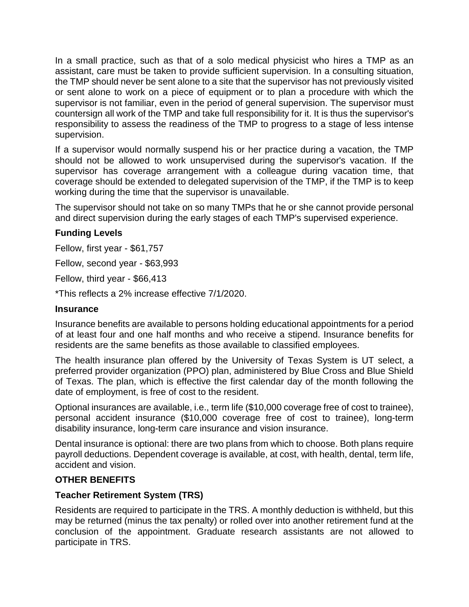In a small practice, such as that of a solo medical physicist who hires a TMP as an assistant, care must be taken to provide sufficient supervision. In a consulting situation, the TMP should never be sent alone to a site that the supervisor has not previously visited or sent alone to work on a piece of equipment or to plan a procedure with which the supervisor is not familiar, even in the period of general supervision. The supervisor must countersign all work of the TMP and take full responsibility for it. It is thus the supervisor's responsibility to assess the readiness of the TMP to progress to a stage of less intense supervision.

If a supervisor would normally suspend his or her practice during a vacation, the TMP should not be allowed to work unsupervised during the supervisor's vacation. If the supervisor has coverage arrangement with a colleague during vacation time, that coverage should be extended to delegated supervision of the TMP, if the TMP is to keep working during the time that the supervisor is unavailable.

The supervisor should not take on so many TMPs that he or she cannot provide personal and direct supervision during the early stages of each TMP's supervised experience.

## **Funding Levels**

Fellow, first year - \$61,757

Fellow, second year - \$63,993

Fellow, third year - \$66,413

\*This reflects a 2% increase effective 7/1/2020.

## **Insurance**

Insurance benefits are available to persons holding educational appointments for a period of at least four and one half months and who receive a stipend. Insurance benefits for residents are the same benefits as those available to classified employees.

The health insurance plan offered by the University of Texas System is UT select, a preferred provider organization (PPO) plan, administered by Blue Cross and Blue Shield of Texas. The plan, which is effective the first calendar day of the month following the date of employment, is free of cost to the resident.

Optional insurances are available, i.e., term life (\$10,000 coverage free of cost to trainee), personal accident insurance (\$10,000 coverage free of cost to trainee), long-term disability insurance, long-term care insurance and vision insurance.

Dental insurance is optional: there are two plans from which to choose. Both plans require payroll deductions. Dependent coverage is available, at cost, with health, dental, term life, accident and vision.

## **OTHER BENEFITS**

## **Teacher Retirement System (TRS)**

Residents are required to participate in the TRS. A monthly deduction is withheld, but this may be returned (minus the tax penalty) or rolled over into another retirement fund at the conclusion of the appointment. Graduate research assistants are not allowed to participate in TRS.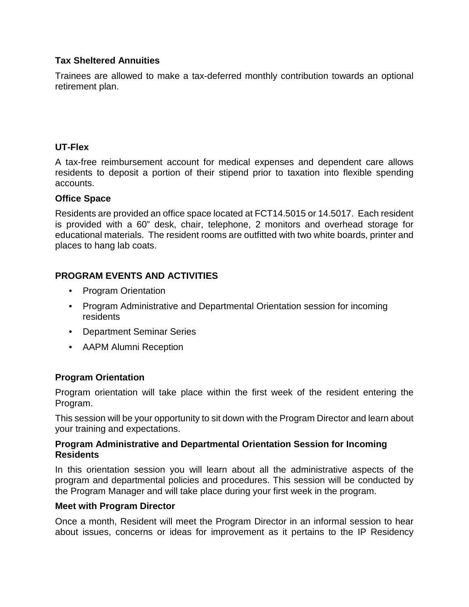## **Tax Sheltered Annuities**

Trainees are allowed to make a tax-deferred monthly contribution towards an optional retirement plan.

## **UT-Flex**

A tax-free reimbursement account for medical expenses and dependent care allows residents to deposit a portion of their stipend prior to taxation into flexible spending accounts.

## **Office Space**

Residents are provided an office space located at FCT14.5015 or 14.5017. Each resident is provided with a 60" desk, chair, telephone, 2 monitors and overhead storage for educational materials. The resident rooms are outfitted with two white boards, printer and places to hang lab coats.

## **PROGRAM EVENTS AND ACTIVITIES**

- Program Orientation
- Program Administrative and Departmental Orientation session for incoming residents
- Department Seminar Series
- AAPM Alumni Reception

## **Program Orientation**

Program orientation will take place within the first week of the resident entering the Program.

This session will be your opportunity to sit down with the Program Director and learn about your training and expectations.

#### **Program Administrative and Departmental Orientation Session for Incoming Residents**

In this orientation session you will learn about all the administrative aspects of the program and departmental policies and procedures. This session will be conducted by the Program Manager and will take place during your first week in the program.

## **Meet with Program Director**

Once a month, Resident will meet the Program Director in an informal session to hear about issues, concerns or ideas for improvement as it pertains to the IP Residency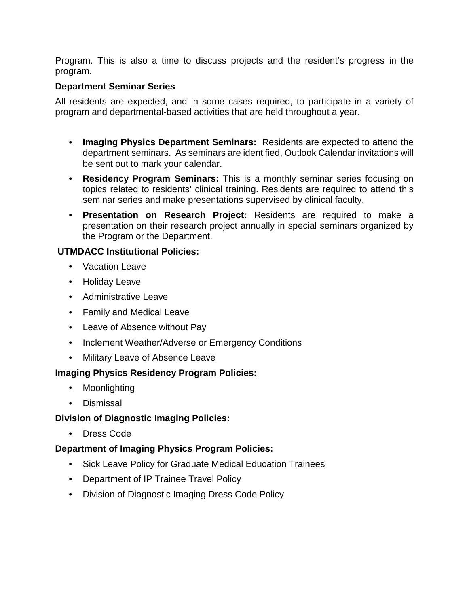Program. This is also a time to discuss projects and the resident's progress in the program.

## **Department Seminar Series**

All residents are expected, and in some cases required, to participate in a variety of program and departmental-based activities that are held throughout a year.

- **Imaging Physics Department Seminars:** Residents are expected to attend the department seminars. As seminars are identified, Outlook Calendar invitations will be sent out to mark your calendar.
- **Residency Program Seminars:** This is a monthly seminar series focusing on topics related to residents' clinical training. Residents are required to attend this seminar series and make presentations supervised by clinical faculty.
- **Presentation on Research Project:** Residents are required to make a presentation on their research project annually in special seminars organized by the Program or the Department.

## **UTMDACC Institutional Policies:**

- Vacation Leave
- Holiday Leave
- Administrative Leave
- Family and Medical Leave
- Leave of Absence without Pay
- Inclement Weather/Adverse or Emergency Conditions
- Military Leave of Absence Leave

## **Imaging Physics Residency Program Policies:**

- Moonlighting
- Dismissal

## **Division of Diagnostic Imaging Policies:**

• Dress Code

## **Department of Imaging Physics Program Policies:**

- Sick Leave Policy for Graduate Medical Education Trainees
- Department of IP Trainee Travel Policy
- Division of Diagnostic Imaging Dress Code Policy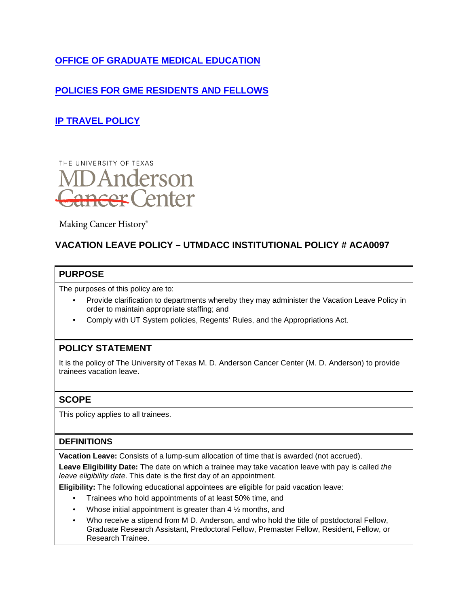## **[OFFICE OF GRADUATE MEDICAL EDUCATION](https://inside.mdanderson.org/education/office-of-graduate-medical-education-ogme-/index.html)**

## **[POLICIES FOR GME RESIDENTS AND FELLOWS](mailto:https://onbaseweb.mdanderson.edu/OnBaseWebIPPInternalPRD/docpop/docpop.aspx)**

## **[IP TRAVEL POLICY](mailto:https://mdacc.app.box.com/file/498525223234)**



Making Cancer History®

## **VACATION LEAVE POLICY – UTMDACC INSTITUTIONAL POLICY # ACA0097**

#### **PURPOSE**

The purposes of this policy are to:

- Provide clarification to departments whereby they may administer the Vacation Leave Policy in order to maintain appropriate staffing; and
- Comply with UT System policies, Regents' Rules, and the Appropriations Act.

## **POLICY STATEMENT**

It is the policy of The University of Texas M. D. Anderson Cancer Center (M. D. Anderson) to provide trainees vacation leave.

## **SCOPE**

This policy applies to all trainees.

## **DEFINITIONS**

**Vacation Leave:** Consists of a lump-sum allocation of time that is awarded (not accrued).

**Leave Eligibility Date:** The date on which a trainee may take vacation leave with pay is called *the leave eligibility date*. This date is the first day of an appointment.

**Eligibility:** The following educational appointees are eligible for paid vacation leave:

- Trainees who hold appointments of at least 50% time, and
- Whose initial appointment is greater than  $4\frac{1}{2}$  months, and
- Who receive a stipend from M D. Anderson, and who hold the title of postdoctoral Fellow, Graduate Research Assistant, Predoctoral Fellow, Premaster Fellow, Resident, Fellow, or Research Trainee.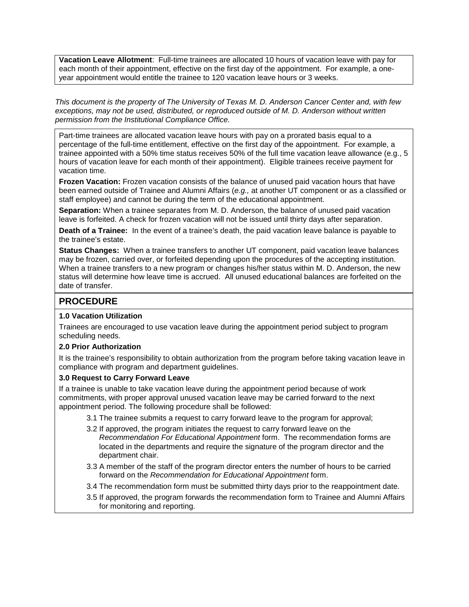**Vacation Leave Allotment**: Full-time trainees are allocated 10 hours of vacation leave with pay for each month of their appointment, effective on the first day of the appointment. For example, a oneyear appointment would entitle the trainee to 120 vacation leave hours or 3 weeks.

*This document is the property of The University of Texas M. D. Anderson Cancer Center and, with few exceptions, may not be used, distributed, or reproduced outside of M. D. Anderson without written permission from the Institutional Compliance Office.* 

Part-time trainees are allocated vacation leave hours with pay on a prorated basis equal to a percentage of the full-time entitlement, effective on the first day of the appointment. For example, a trainee appointed with a 50% time status receives 50% of the full time vacation leave allowance (e.g., 5 hours of vacation leave for each month of their appointment). Eligible trainees receive payment for vacation time.

**Frozen Vacation:** Frozen vacation consists of the balance of unused paid vacation hours that have been earned outside of Trainee and Alumni Affairs (*e.g.,* at another UT component or as a classified or staff employee) and cannot be during the term of the educational appointment.

**Separation:** When a trainee separates from M. D. Anderson, the balance of unused paid vacation leave is forfeited. A check for frozen vacation will not be issued until thirty days after separation.

**Death of a Trainee:** In the event of a trainee's death, the paid vacation leave balance is payable to the trainee's estate.

**Status Changes:** When a trainee transfers to another UT component, paid vacation leave balances may be frozen, carried over, or forfeited depending upon the procedures of the accepting institution. When a trainee transfers to a new program or changes his/her status within M. D. Anderson, the new status will determine how leave time is accrued. All unused educational balances are forfeited on the date of transfer.

## **PROCEDURE**

#### **1.0 Vacation Utilization**

Trainees are encouraged to use vacation leave during the appointment period subject to program scheduling needs.

#### **2.0 Prior Authorization**

It is the trainee's responsibility to obtain authorization from the program before taking vacation leave in compliance with program and department guidelines.

#### **3.0 Request to Carry Forward Leave**

If a trainee is unable to take vacation leave during the appointment period because of work commitments, with proper approval unused vacation leave may be carried forward to the next appointment period. The following procedure shall be followed:

- 3.1 The trainee submits a request to carry forward leave to the program for approval;
- 3.2 If approved, the program initiates the request to carry forward leave on the *Recommendation For Educational Appointment* form. The recommendation forms are located in the departments and require the signature of the program director and the department chair.
- 3.3 A member of the staff of the program director enters the number of hours to be carried forward on the *Recommendation for Educational Appointment* form.
- 3.4 The recommendation form must be submitted thirty days prior to the reappointment date.
- 3.5 If approved, the program forwards the recommendation form to Trainee and Alumni Affairs for monitoring and reporting.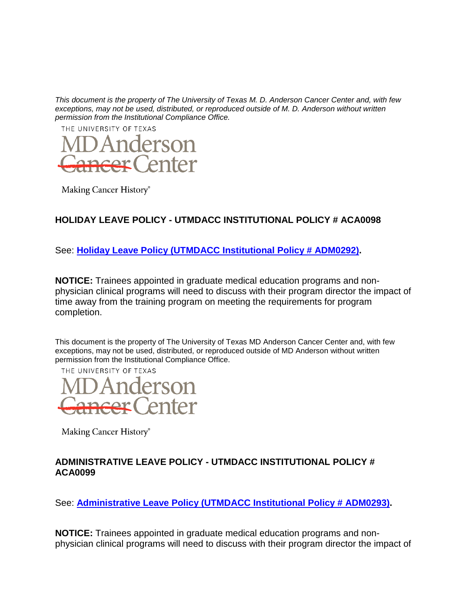

Making Cancer History®

## **HOLIDAY LEAVE POLICY - UTMDACC INSTITUTIONAL POLICY # ACA0098**

See: **[Holiday Leave Policy \(UTMDACC Institutional Policy # ADM0292\).](http://inside3.mdanderson.org/apps/ipp/published/ipp/ADM0292.pdf)**

**NOTICE:** Trainees appointed in graduate medical education programs and nonphysician clinical programs will need to discuss with their program director the impact of time away from the training program on meeting the requirements for program completion.

This document is the property of The University of Texas MD Anderson Cancer Center and, with few exceptions, may not be used, distributed, or reproduced outside of MD Anderson without written permission from the Institutional Compliance Office.



Making Cancer History®

## **ADMINISTRATIVE LEAVE POLICY - UTMDACC INSTITUTIONAL POLICY # ACA0099**

See: **[Administrative Leave Policy \(UTMDACC Institutional Policy # ADM0293\).](http://inside3.mdanderson.org/apps/ipp/published/ipp/ADM0293.pdf)** 

**NOTICE:** Trainees appointed in graduate medical education programs and nonphysician clinical programs will need to discuss with their program director the impact of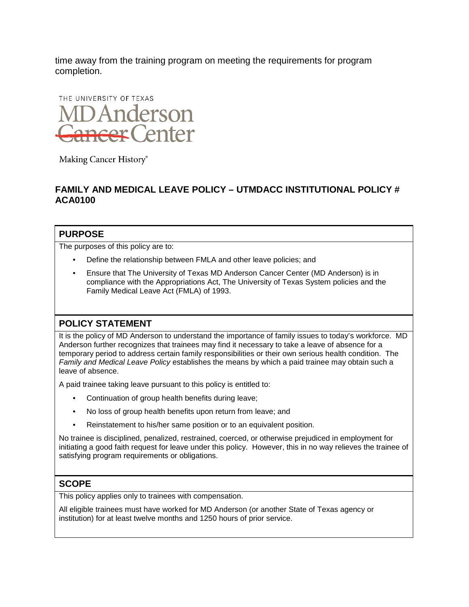time away from the training program on meeting the requirements for program completion.



Making Cancer History®

## **FAMILY AND MEDICAL LEAVE POLICY – UTMDACC INSTITUTIONAL POLICY # ACA0100**

#### **PURPOSE**

The purposes of this policy are to:

- Define the relationship between FMLA and other leave policies; and
- Ensure that The University of Texas MD Anderson Cancer Center (MD Anderson) is in compliance with the Appropriations Act, The University of Texas System policies and the Family Medical Leave Act (FMLA) of 1993.

## **POLICY STATEMENT**

It is the policy of MD Anderson to understand the importance of family issues to today's workforce. MD Anderson further recognizes that trainees may find it necessary to take a leave of absence for a temporary period to address certain family responsibilities or their own serious health condition. The *Family and Medical Leave Policy* establishes the means by which a paid trainee may obtain such a leave of absence.

A paid trainee taking leave pursuant to this policy is entitled to:

- Continuation of group health benefits during leave;
- No loss of group health benefits upon return from leave; and
- Reinstatement to his/her same position or to an equivalent position.

No trainee is disciplined, penalized, restrained, coerced, or otherwise prejudiced in employment for initiating a good faith request for leave under this policy. However, this in no way relieves the trainee of satisfying program requirements or obligations.

## **SCOPE**

This policy applies only to trainees with compensation.

All eligible trainees must have worked for MD Anderson (or another State of Texas agency or institution) for at least twelve months and 1250 hours of prior service.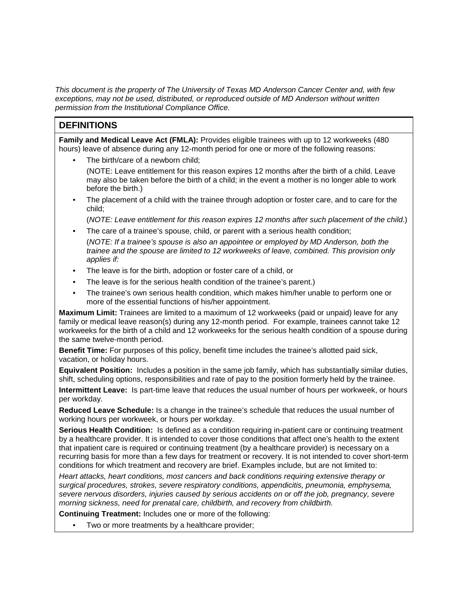#### **DEFINITIONS**

**Family and Medical Leave Act (FMLA):** Provides eligible trainees with up to 12 workweeks (480 hours) leave of absence during any 12-month period for one or more of the following reasons:

The birth/care of a newborn child:

(NOTE: Leave entitlement for this reason expires 12 months after the birth of a child. Leave may also be taken before the birth of a child; in the event a mother is no longer able to work before the birth.)

• The placement of a child with the trainee through adoption or foster care, and to care for the child;

(*NOTE: Leave entitlement for this reason expires 12 months after such placement of the child*.)

- The care of a trainee's spouse, child, or parent with a serious health condition; (*NOTE: If a trainee's spouse is also an appointee or employed by MD Anderson, both the trainee and the spouse are limited to 12 workweeks of leave, combined. This provision only applies if:*
- The leave is for the birth, adoption or foster care of a child, or
- The leave is for the serious health condition of the trainee's parent.)
- The trainee's own serious health condition, which makes him/her unable to perform one or more of the essential functions of his/her appointment.

**Maximum Limit:** Trainees are limited to a maximum of 12 workweeks (paid or unpaid) leave for any family or medical leave reason(s) during any 12-month period. For example, trainees cannot take 12 workweeks for the birth of a child and 12 workweeks for the serious health condition of a spouse during the same twelve-month period.

**Benefit Time:** For purposes of this policy, benefit time includes the trainee's allotted paid sick, vacation, or holiday hours.

**Equivalent Position:** Includes a position in the same job family, which has substantially similar duties, shift, scheduling options, responsibilities and rate of pay to the position formerly held by the trainee.

**Intermittent Leave:** Is part-time leave that reduces the usual number of hours per workweek, or hours per workday.

**Reduced Leave Schedule:** Is a change in the trainee's schedule that reduces the usual number of working hours per workweek, or hours per workday.

**Serious Health Condition:** Is defined as a condition requiring in-patient care or continuing treatment by a healthcare provider. It is intended to cover those conditions that affect one's health to the extent that inpatient care is required or continuing treatment (by a healthcare provider) is necessary on a recurring basis for more than a few days for treatment or recovery. It is not intended to cover short-term conditions for which treatment and recovery are brief. Examples include, but are not limited to:

*Heart attacks, heart conditions, most cancers and back conditions requiring extensive therapy or surgical procedures, strokes, severe respiratory conditions, appendicitis, pneumonia, emphysema, severe nervous disorders, injuries caused by serious accidents on or off the job, pregnancy, severe morning sickness, need for prenatal care, childbirth, and recovery from childbirth.* 

**Continuing Treatment:** Includes one or more of the following:

Two or more treatments by a healthcare provider;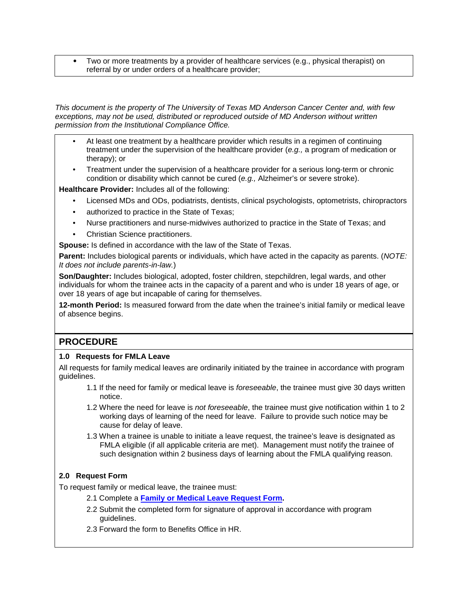• Two or more treatments by a provider of healthcare services (e.g., physical therapist) on referral by or under orders of a healthcare provider;

*This document is the property of The University of Texas MD Anderson Cancer Center and, with few exceptions, may not be used, distributed or reproduced outside of MD Anderson without written permission from the Institutional Compliance Office.* 

- At least one treatment by a healthcare provider which results in a regimen of continuing treatment under the supervision of the healthcare provider (*e.g.,* a program of medication or therapy); or
- Treatment under the supervision of a healthcare provider for a serious long-term or chronic condition or disability which cannot be cured (*e.g.,* Alzheimer's or severe stroke).

**Healthcare Provider:** Includes all of the following:

- Licensed MDs and ODs, podiatrists, dentists, clinical psychologists, optometrists, chiropractors
- authorized to practice in the State of Texas;
- Nurse practitioners and nurse-midwives authorized to practice in the State of Texas; and
- Christian Science practitioners.

**Spouse:** Is defined in accordance with the law of the State of Texas.

**Parent:** Includes biological parents or individuals, which have acted in the capacity as parents. (*NOTE: It does not include parents-in-law.*)

**Son/Daughter:** Includes biological, adopted, foster children, stepchildren, legal wards, and other individuals for whom the trainee acts in the capacity of a parent and who is under 18 years of age, or over 18 years of age but incapable of caring for themselves.

**12-month Period:** Is measured forward from the date when the trainee's initial family or medical leave of absence begins.

## **PROCEDURE**

#### **1.0 Requests for FMLA Leave**

All requests for family medical leaves are ordinarily initiated by the trainee in accordance with program guidelines.

- 1.1 If the need for family or medical leave is *foreseeable*, the trainee must give 30 days written notice.
- 1.2 Where the need for leave is *not foreseeable*, the trainee must give notification within 1 to 2 working days of learning of the need for leave. Failure to provide such notice may be cause for delay of leave.
- 1.3 When a trainee is unable to initiate a leave request, the trainee's leave is designated as FMLA eligible (if all applicable criteria are met). Management must notify the trainee of such designation within 2 business days of learning about the FMLA qualifying reason.

#### **2.0 Request Form**

To request family or medical leave, the trainee must:

- 2.1 Complete a **[Family or Medical Leave Request Form.](http://inside3.mdanderson.org/apps/ipp/published/attachments/ATT0446.doc)**
- 2.2 Submit the completed form for signature of approval in accordance with program guidelines.
- 2.3 Forward the form to Benefits Office in HR.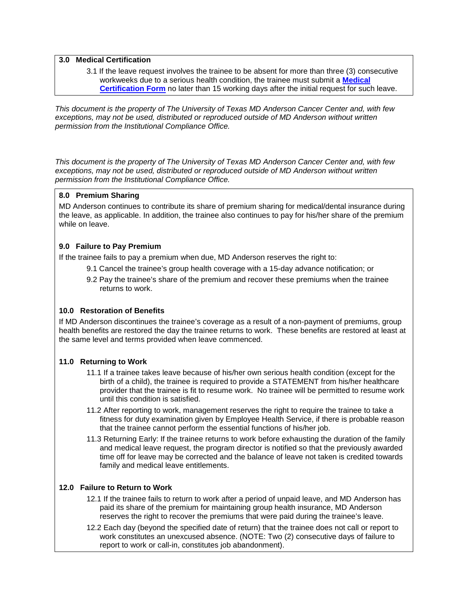#### **3.0 Medical Certification**

3.1 If the leave request involves the trainee to be absent for more than three (3) consecutive workweeks due to a serious health condition, the trainee must submit a **[Medical](http://inside3.mdanderson.org/apps/ipp/published/attachments/ATT0445.doc)  [Certification Form](http://inside3.mdanderson.org/apps/ipp/published/attachments/ATT0445.doc)** no later than 15 working days after the initial request for such leave.

*This document is the property of The University of Texas MD Anderson Cancer Center and, with few exceptions, may not be used, distributed or reproduced outside of MD Anderson without written permission from the Institutional Compliance Office.* 

*This document is the property of The University of Texas MD Anderson Cancer Center and, with few exceptions, may not be used, distributed or reproduced outside of MD Anderson without written permission from the Institutional Compliance Office.*

#### **8.0 Premium Sharing**

MD Anderson continues to contribute its share of premium sharing for medical/dental insurance during the leave, as applicable. In addition, the trainee also continues to pay for his/her share of the premium while on leave.

#### **9.0 Failure to Pay Premium**

If the trainee fails to pay a premium when due, MD Anderson reserves the right to:

- 9.1 Cancel the trainee's group health coverage with a 15-day advance notification; or
- 9.2 Pay the trainee's share of the premium and recover these premiums when the trainee returns to work.

#### **10.0 Restoration of Benefits**

If MD Anderson discontinues the trainee's coverage as a result of a non-payment of premiums, group health benefits are restored the day the trainee returns to work. These benefits are restored at least at the same level and terms provided when leave commenced.

#### **11.0 Returning to Work**

- 11.1 If a trainee takes leave because of his/her own serious health condition (except for the birth of a child), the trainee is required to provide a STATEMENT from his/her healthcare provider that the trainee is fit to resume work. No trainee will be permitted to resume work until this condition is satisfied.
- 11.2 After reporting to work, management reserves the right to require the trainee to take a fitness for duty examination given by Employee Health Service, if there is probable reason that the trainee cannot perform the essential functions of his/her job.
- 11.3 Returning Early: If the trainee returns to work before exhausting the duration of the family and medical leave request, the program director is notified so that the previously awarded time off for leave may be corrected and the balance of leave not taken is credited towards family and medical leave entitlements.

#### **12.0 Failure to Return to Work**

- 12.1 If the trainee fails to return to work after a period of unpaid leave, and MD Anderson has paid its share of the premium for maintaining group health insurance, MD Anderson reserves the right to recover the premiums that were paid during the trainee's leave.
- 12.2 Each day (beyond the specified date of return) that the trainee does not call or report to work constitutes an unexcused absence. (NOTE: Two (2) consecutive days of failure to report to work or call-in, constitutes job abandonment).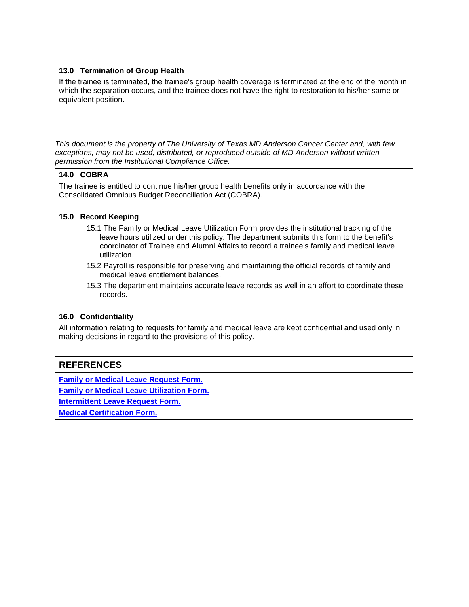#### **13.0 Termination of Group Health**

If the trainee is terminated, the trainee's group health coverage is terminated at the end of the month in which the separation occurs, and the trainee does not have the right to restoration to his/her same or equivalent position.

*This document is the property of The University of Texas MD Anderson Cancer Center and, with few exceptions, may not be used, distributed, or reproduced outside of MD Anderson without written permission from the Institutional Compliance Office.* 

#### **14.0 COBRA**

The trainee is entitled to continue his/her group health benefits only in accordance with the Consolidated Omnibus Budget Reconciliation Act (COBRA).

#### **15.0 Record Keeping**

- 15.1 The Family or Medical Leave Utilization Form provides the institutional tracking of the leave hours utilized under this policy. The department submits this form to the benefit's coordinator of Trainee and Alumni Affairs to record a trainee's family and medical leave utilization.
- 15.2 Payroll is responsible for preserving and maintaining the official records of family and medical leave entitlement balances.
- 15.3 The department maintains accurate leave records as well in an effort to coordinate these records.

#### **16.0 Confidentiality**

All information relating to requests for family and medical leave are kept confidential and used only in making decisions in regard to the provisions of this policy.

#### **REFERENCES**

**[Family or Medical Leave Request Form.](http://inside3.mdanderson.org/apps/ipp/published/attachments/ATT0446.doc)**

**[Family or Medical Leave Utilization Form.](http://inside3.mdanderson.org/apps/ipp/published/attachments/ATT0444.doc)**

**[Intermittent Leave Request Form.](http://inside3.mdanderson.org/apps/ipp/published/attachments/ATT0443.doc)**

**[Medical Certification Form.](http://inside3.mdanderson.org/apps/ipp/published/attachments/ATT0445.doc)**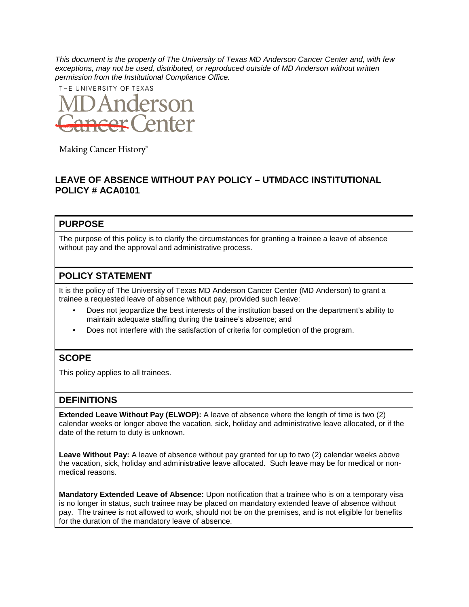THE UNIVERSITY OF TEXAS



Making Cancer History®

## **LEAVE OF ABSENCE WITHOUT PAY POLICY – UTMDACC INSTITUTIONAL POLICY # ACA0101**

#### **PURPOSE**

The purpose of this policy is to clarify the circumstances for granting a trainee a leave of absence without pay and the approval and administrative process.

#### **POLICY STATEMENT**

It is the policy of The University of Texas MD Anderson Cancer Center (MD Anderson) to grant a trainee a requested leave of absence without pay, provided such leave:

- Does not jeopardize the best interests of the institution based on the department's ability to maintain adequate staffing during the trainee's absence; and
- Does not interfere with the satisfaction of criteria for completion of the program.

#### **SCOPE**

This policy applies to all trainees.

#### **DEFINITIONS**

**Extended Leave Without Pay (ELWOP):** A leave of absence where the length of time is two (2) calendar weeks or longer above the vacation, sick, holiday and administrative leave allocated, or if the date of the return to duty is unknown.

**Leave Without Pay:** A leave of absence without pay granted for up to two (2) calendar weeks above the vacation, sick, holiday and administrative leave allocated. Such leave may be for medical or nonmedical reasons.

**Mandatory Extended Leave of Absence:** Upon notification that a trainee who is on a temporary visa is no longer in status, such trainee may be placed on mandatory extended leave of absence without pay. The trainee is not allowed to work, should not be on the premises, and is not eligible for benefits for the duration of the mandatory leave of absence.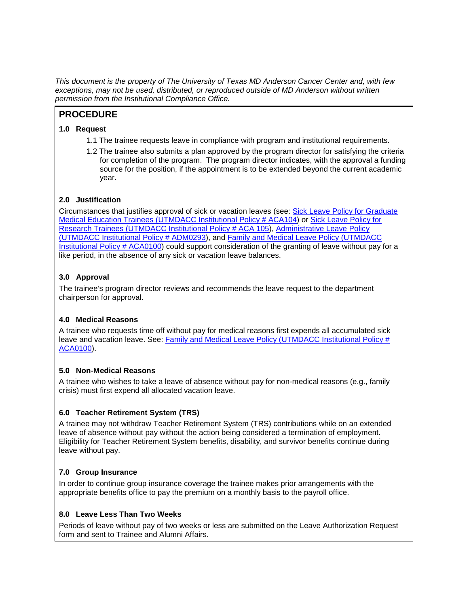#### **PROCEDURE**

#### **1.0 Request**

- 1.1 The trainee requests leave in compliance with program and institutional requirements.
- 1.2 The trainee also submits a plan approved by the program director for satisfying the criteria for completion of the program. The program director indicates, with the approval a funding source for the position, if the appointment is to be extended beyond the current academic year.

#### **2.0 Justification**

Circumstances that justifies approval of sick or vacation leaves (see: Sick Leave Policy for Graduate [Medical Education Trainees \(UTMDACC Institutional Policy # ACA104\)](http://inside3.mdanderson.org/apps/ipp/published/ipp/ACA0104.pdf) or [Sick Leave Policy for](http://inside3.mdanderson.org/apps/ipp/published/ipp/ACA0105.pdf)  [Research Trainees \(UTMDACC Institutional Policy # ACA 105\)](http://inside3.mdanderson.org/apps/ipp/published/ipp/ACA0105.pdf), [Administrative Leave Policy](http://inside3.mdanderson.org/apps/ipp/published/ipp/ADM0293.pdf)  [\(UTMDACC Institutional Policy # ADM0293\)](http://inside3.mdanderson.org/apps/ipp/published/ipp/ADM0293.pdf), and [Family and Medical Leave Policy \(UTMDACC](http://inside3.mdanderson.org/apps/ipp/published/ipp/ACA0100.pdf)  [Institutional Policy # ACA0100\)](http://inside3.mdanderson.org/apps/ipp/published/ipp/ACA0100.pdf) could support consideration of the granting of leave without pay for a like period, in the absence of any sick or vacation leave balances.

#### **3.0 Approval**

The trainee's program director reviews and recommends the leave request to the department chairperson for approval.

#### **4.0 Medical Reasons**

A trainee who requests time off without pay for medical reasons first expends all accumulated sick leave and vacation leave. See: Family and Medical Leave Policy (UTMDACC Institutional Policy # [ACA0100\)](http://inside3.mdanderson.org/apps/ipp/published/ipp/ACA0100.pdf).

#### **5.0 Non-Medical Reasons**

A trainee who wishes to take a leave of absence without pay for non-medical reasons (e.g., family crisis) must first expend all allocated vacation leave.

#### **6.0 Teacher Retirement System (TRS)**

A trainee may not withdraw Teacher Retirement System (TRS) contributions while on an extended leave of absence without pay without the action being considered a termination of employment. Eligibility for Teacher Retirement System benefits, disability, and survivor benefits continue during leave without pay.

#### **7.0 Group Insurance**

In order to continue group insurance coverage the trainee makes prior arrangements with the appropriate benefits office to pay the premium on a monthly basis to the payroll office.

#### **8.0 Leave Less Than Two Weeks**

Periods of leave without pay of two weeks or less are submitted on the Leave Authorization Request form and sent to Trainee and Alumni Affairs.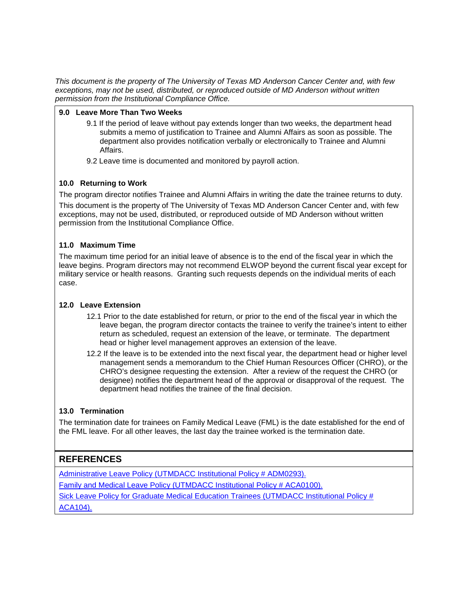#### **9.0 Leave More Than Two Weeks**

- 9.1 If the period of leave without pay extends longer than two weeks, the department head submits a memo of justification to Trainee and Alumni Affairs as soon as possible. The department also provides notification verbally or electronically to Trainee and Alumni Affairs.
- 9.2 Leave time is documented and monitored by payroll action.

#### **10.0 Returning to Work**

The program director notifies Trainee and Alumni Affairs in writing the date the trainee returns to duty. This document is the property of The University of Texas MD Anderson Cancer Center and, with few exceptions, may not be used, distributed, or reproduced outside of MD Anderson without written permission from the Institutional Compliance Office.

#### **11.0 Maximum Time**

The maximum time period for an initial leave of absence is to the end of the fiscal year in which the leave begins. Program directors may not recommend ELWOP beyond the current fiscal year except for military service or health reasons. Granting such requests depends on the individual merits of each case.

#### **12.0 Leave Extension**

- 12.1 Prior to the date established for return, or prior to the end of the fiscal year in which the leave began, the program director contacts the trainee to verify the trainee's intent to either return as scheduled, request an extension of the leave, or terminate. The department head or higher level management approves an extension of the leave.
- 12.2 If the leave is to be extended into the next fiscal year, the department head or higher level management sends a memorandum to the Chief Human Resources Officer (CHRO), or the CHRO's designee requesting the extension. After a review of the request the CHRO (or designee) notifies the department head of the approval or disapproval of the request. The department head notifies the trainee of the final decision.

#### **13.0 Termination**

The termination date for trainees on Family Medical Leave (FML) is the date established for the end of the FML leave. For all other leaves, the last day the trainee worked is the termination date.

## **REFERENCES**

[Administrative Leave Policy \(UTMDACC Institutional Policy # ADM0293\).](http://inside3.mdanderson.org/apps/ipp/published/ipp/ADM0293.pdf) [Family and Medical Leave Policy \(UTMDACC Institutional Policy # ACA0100\).](http://inside3.mdanderson.org/apps/ipp/published/ipp/ACA0100.pdf) Sick Leave Policy for Graduate Medical Education Trainees (UTMDACC Institutional Policy # ACA104).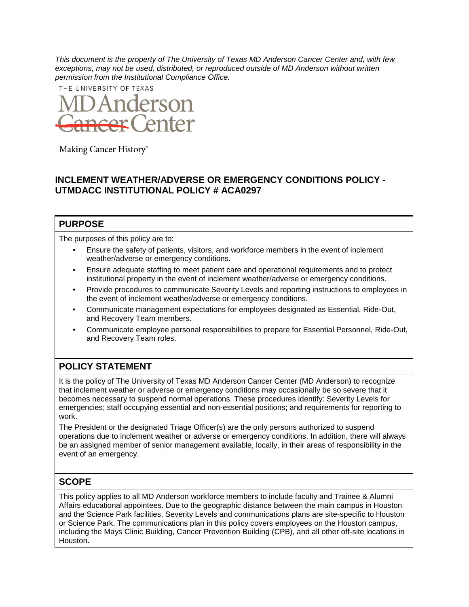THE UNIVERSITY OF TEXAS



Making Cancer History®

## **INCLEMENT WEATHER/ADVERSE OR EMERGENCY CONDITIONS POLICY - UTMDACC INSTITUTIONAL POLICY # ACA0297**

#### **PURPOSE**

The purposes of this policy are to:

- Ensure the safety of patients, visitors, and workforce members in the event of inclement weather/adverse or emergency conditions.
- Ensure adequate staffing to meet patient care and operational requirements and to protect institutional property in the event of inclement weather/adverse or emergency conditions.
- Provide procedures to communicate Severity Levels and reporting instructions to employees in the event of inclement weather/adverse or emergency conditions.
- Communicate management expectations for employees designated as Essential, Ride-Out, and Recovery Team members.
- Communicate employee personal responsibilities to prepare for Essential Personnel, Ride-Out, and Recovery Team roles.

## **POLICY STATEMENT**

It is the policy of The University of Texas MD Anderson Cancer Center (MD Anderson) to recognize that inclement weather or adverse or emergency conditions may occasionally be so severe that it becomes necessary to suspend normal operations. These procedures identify: Severity Levels for emergencies; staff occupying essential and non-essential positions; and requirements for reporting to work.

The President or the designated Triage Officer(s) are the only persons authorized to suspend operations due to inclement weather or adverse or emergency conditions. In addition, there will always be an assigned member of senior management available, locally, in their areas of responsibility in the event of an emergency.

## **SCOPE**

This policy applies to all MD Anderson workforce members to include faculty and Trainee & Alumni Affairs educational appointees. Due to the geographic distance between the main campus in Houston and the Science Park facilities, Severity Levels and communications plans are site-specific to Houston or Science Park. The communications plan in this policy covers employees on the Houston campus, including the Mays Clinic Building, Cancer Prevention Building (CPB), and all other off-site locations in Houston.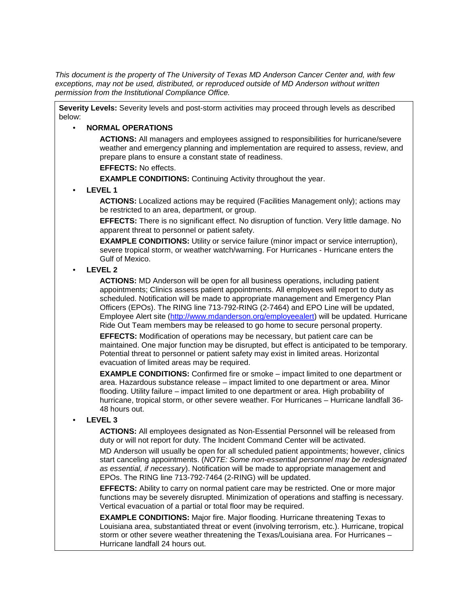**Severity Levels:** Severity levels and post-storm activities may proceed through levels as described below:

#### • **NORMAL OPERATIONS**

**ACTIONS:** All managers and employees assigned to responsibilities for hurricane/severe weather and emergency planning and implementation are required to assess, review, and prepare plans to ensure a constant state of readiness.

**EFFECTS:** No effects.

**EXAMPLE CONDITIONS:** Continuing Activity throughout the year.

• **LEVEL 1** 

**ACTIONS:** Localized actions may be required (Facilities Management only); actions may be restricted to an area, department, or group.

**EFFECTS:** There is no significant effect. No disruption of function. Very little damage. No apparent threat to personnel or patient safety.

**EXAMPLE CONDITIONS:** Utility or service failure (minor impact or service interruption), severe tropical storm, or weather watch/warning. For Hurricanes - Hurricane enters the Gulf of Mexico.

#### • **LEVEL 2**

**ACTIONS:** MD Anderson will be open for all business operations, including patient appointments; Clinics assess patient appointments. All employees will report to duty as scheduled. Notification will be made to appropriate management and Emergency Plan Officers (EPOs). The RING line 713-792-RING (2-7464) and EPO Line will be updated, Employee Alert site [\(http://www.mdanderson.org/employeealert\)](http://www.mdanderson.org/employeealert) will be updated. Hurricane Ride Out Team members may be released to go home to secure personal property.

**EFFECTS:** Modification of operations may be necessary, but patient care can be maintained. One major function may be disrupted, but effect is anticipated to be temporary. Potential threat to personnel or patient safety may exist in limited areas. Horizontal evacuation of limited areas may be required.

**EXAMPLE CONDITIONS:** Confirmed fire or smoke – impact limited to one department or area. Hazardous substance release – impact limited to one department or area. Minor flooding. Utility failure – impact limited to one department or area. High probability of hurricane, tropical storm, or other severe weather. For Hurricanes – Hurricane landfall 36- 48 hours out.

#### • **LEVEL 3**

**ACTIONS:** All employees designated as Non-Essential Personnel will be released from duty or will not report for duty. The Incident Command Center will be activated.

MD Anderson will usually be open for all scheduled patient appointments; however, clinics start canceling appointments. (*NOTE: Some non-essential personnel may be redesignated as essential, if necessary*). Notification will be made to appropriate management and EPOs. The RING line 713-792-7464 (2-RING) will be updated.

**EFFECTS:** Ability to carry on normal patient care may be restricted. One or more major functions may be severely disrupted. Minimization of operations and staffing is necessary. Vertical evacuation of a partial or total floor may be required.

**EXAMPLE CONDITIONS:** Major fire. Major flooding. Hurricane threatening Texas to Louisiana area, substantiated threat or event (involving terrorism, etc.). Hurricane, tropical storm or other severe weather threatening the Texas/Louisiana area. For Hurricanes – Hurricane landfall 24 hours out.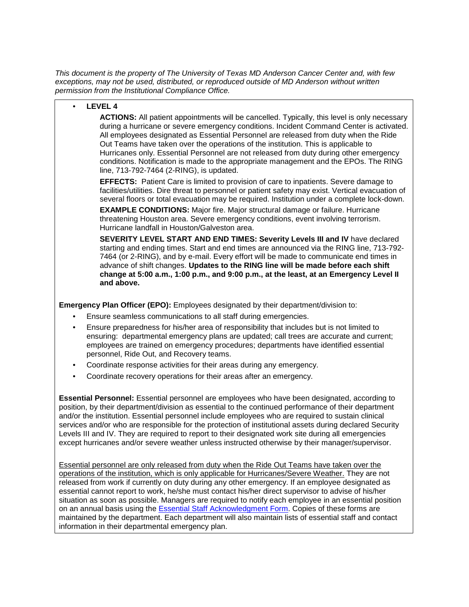#### • **LEVEL 4**

**ACTIONS:** All patient appointments will be cancelled. Typically, this level is only necessary during a hurricane or severe emergency conditions. Incident Command Center is activated. All employees designated as Essential Personnel are released from duty when the Ride Out Teams have taken over the operations of the institution. This is applicable to Hurricanes only. Essential Personnel are not released from duty during other emergency conditions. Notification is made to the appropriate management and the EPOs. The RING line, 713-792-7464 (2-RING), is updated.

**EFFECTS:** Patient Care is limited to provision of care to inpatients. Severe damage to facilities/utilities. Dire threat to personnel or patient safety may exist. Vertical evacuation of several floors or total evacuation may be required. Institution under a complete lock-down.

**EXAMPLE CONDITIONS:** Major fire. Major structural damage or failure. Hurricane threatening Houston area. Severe emergency conditions, event involving terrorism. Hurricane landfall in Houston/Galveston area.

**SEVERITY LEVEL START AND END TIMES: Severity Levels III and IV** have declared starting and ending times. Start and end times are announced via the RING line, 713-792- 7464 (or 2-RING), and by e-mail. Every effort will be made to communicate end times in advance of shift changes. **Updates to the RING line will be made before each shift change at 5:00 a.m., 1:00 p.m., and 9:00 p.m., at the least, at an Emergency Level II and above.** 

**Emergency Plan Officer (EPO):** Employees designated by their department/division to:

- Ensure seamless communications to all staff during emergencies.
- Ensure preparedness for his/her area of responsibility that includes but is not limited to ensuring: departmental emergency plans are updated; call trees are accurate and current; employees are trained on emergency procedures; departments have identified essential personnel, Ride Out, and Recovery teams.
- Coordinate response activities for their areas during any emergency.
- Coordinate recovery operations for their areas after an emergency.

**Essential Personnel:** Essential personnel are employees who have been designated, according to position, by their department/division as essential to the continued performance of their department and/or the institution. Essential personnel include employees who are required to sustain clinical services and/or who are responsible for the protection of institutional assets during declared Security Levels III and IV. They are required to report to their designated work site during all emergencies except hurricanes and/or severe weather unless instructed otherwise by their manager/supervisor.

Essential personnel are only released from duty when the Ride Out Teams have taken over the operations of the institution, which is only applicable for Hurricanes/Severe Weather. They are not released from work if currently on duty during any other emergency. If an employee designated as essential cannot report to work, he/she must contact his/her direct supervisor to advise of his/her situation as soon as possible. Managers are required to notify each employee in an essential position on an annual basis using the [Essential Staff Acknowledgment Form.](http://inside3.mdanderson.org/apps/ipp/published/attachments/ATT0404.doc) Copies of these forms are maintained by the department. Each department will also maintain lists of essential staff and contact information in their departmental emergency plan.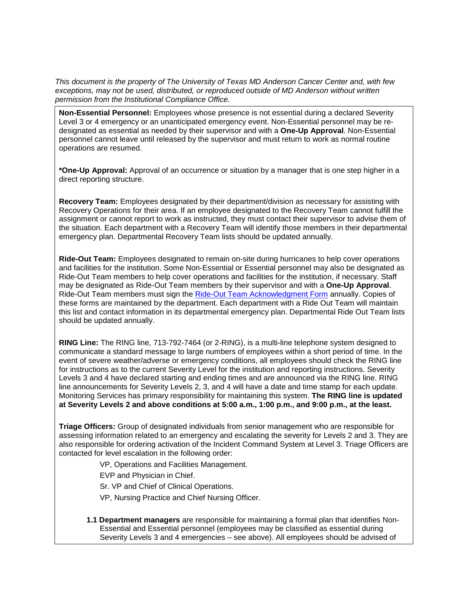**Non-Essential Personnel:** Employees whose presence is not essential during a declared Severity Level 3 or 4 emergency or an unanticipated emergency event. Non-Essential personnel may be redesignated as essential as needed by their supervisor and with a **One-Up Approval**. Non-Essential personnel cannot leave until released by the supervisor and must return to work as normal routine operations are resumed.

**\*One-Up Approval:** Approval of an occurrence or situation by a manager that is one step higher in a direct reporting structure.

**Recovery Team:** Employees designated by their department/division as necessary for assisting with Recovery Operations for their area. If an employee designated to the Recovery Team cannot fulfill the assignment or cannot report to work as instructed, they must contact their supervisor to advise them of the situation. Each department with a Recovery Team will identify those members in their departmental emergency plan. Departmental Recovery Team lists should be updated annually.

**Ride-Out Team:** Employees designated to remain on-site during hurricanes to help cover operations and facilities for the institution. Some Non-Essential or Essential personnel may also be designated as Ride-Out Team members to help cover operations and facilities for the institution, if necessary. Staff may be designated as Ride-Out Team members by their supervisor and with a **One-Up Approval**. Ride-Out Team members must sign the [Ride-Out Team Acknowledgment Form](http://inside3.mdanderson.org/apps/ipp/published/attachments/ATT0569.doc) annually. Copies of these forms are maintained by the department. Each department with a Ride Out Team will maintain this list and contact information in its departmental emergency plan. Departmental Ride Out Team lists should be updated annually.

**RING Line:** The RING line, 713-792-7464 (or 2-RING), is a multi-line telephone system designed to communicate a standard message to large numbers of employees within a short period of time. In the event of severe weather/adverse or emergency conditions, all employees should check the RING line for instructions as to the current Severity Level for the institution and reporting instructions. Severity Levels 3 and 4 have declared starting and ending times and are announced via the RING line. RING line announcements for Severity Levels 2, 3, and 4 will have a date and time stamp for each update. Monitoring Services has primary responsibility for maintaining this system. **The RING line is updated at Severity Levels 2 and above conditions at 5:00 a.m., 1:00 p.m., and 9:00 p.m., at the least.**

**Triage Officers:** Group of designated individuals from senior management who are responsible for assessing information related to an emergency and escalating the severity for Levels 2 and 3. They are also responsible for ordering activation of the Incident Command System at Level 3. Triage Officers are contacted for level escalation in the following order:

VP, Operations and Facilities Management.

EVP and Physician in Chief.

Sr. VP and Chief of Clinical Operations.

VP, Nursing Practice and Chief Nursing Officer.

**1.1 Department managers** are responsible for maintaining a formal plan that identifies Non-Essential and Essential personnel (employees may be classified as essential during Severity Levels 3 and 4 emergencies – see above). All employees should be advised of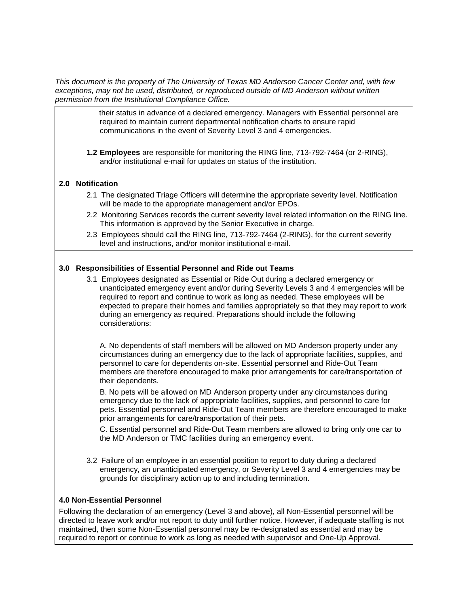> their status in advance of a declared emergency. Managers with Essential personnel are required to maintain current departmental notification charts to ensure rapid communications in the event of Severity Level 3 and 4 emergencies.

**1.2 Employees** are responsible for monitoring the RING line, 713-792-7464 (or 2-RING), and/or institutional e-mail for updates on status of the institution.

#### **2.0 Notification**

- 2.1 The designated Triage Officers will determine the appropriate severity level. Notification will be made to the appropriate management and/or EPOs.
- 2.2 Monitoring Services records the current severity level related information on the RING line. This information is approved by the Senior Executive in charge.
- 2.3 Employees should call the RING line, 713-792-7464 (2-RING), for the current severity level and instructions, and/or monitor institutional e-mail.

#### **3.0 Responsibilities of Essential Personnel and Ride out Teams**

3.1 Employees designated as Essential or Ride Out during a declared emergency or unanticipated emergency event and/or during Severity Levels 3 and 4 emergencies will be required to report and continue to work as long as needed. These employees will be expected to prepare their homes and families appropriately so that they may report to work during an emergency as required. Preparations should include the following considerations:

A. No dependents of staff members will be allowed on MD Anderson property under any circumstances during an emergency due to the lack of appropriate facilities, supplies, and personnel to care for dependents on-site. Essential personnel and Ride-Out Team members are therefore encouraged to make prior arrangements for care/transportation of their dependents.

B. No pets will be allowed on MD Anderson property under any circumstances during emergency due to the lack of appropriate facilities, supplies, and personnel to care for pets. Essential personnel and Ride-Out Team members are therefore encouraged to make prior arrangements for care/transportation of their pets.

C. Essential personnel and Ride-Out Team members are allowed to bring only one car to the MD Anderson or TMC facilities during an emergency event.

3.2 Failure of an employee in an essential position to report to duty during a declared emergency, an unanticipated emergency, or Severity Level 3 and 4 emergencies may be grounds for disciplinary action up to and including termination.

#### **4.0 Non-Essential Personnel**

Following the declaration of an emergency (Level 3 and above), all Non-Essential personnel will be directed to leave work and/or not report to duty until further notice. However, if adequate staffing is not maintained, then some Non-Essential personnel may be re-designated as essential and may be required to report or continue to work as long as needed with supervisor and One-Up Approval.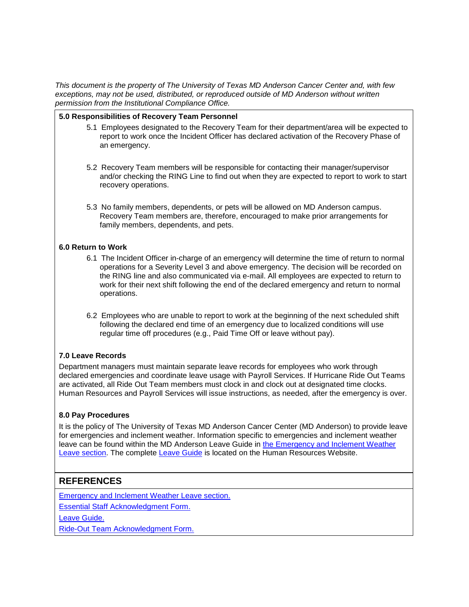#### **5.0 Responsibilities of Recovery Team Personnel**

- 5.1 Employees designated to the Recovery Team for their department/area will be expected to report to work once the Incident Officer has declared activation of the Recovery Phase of an emergency.
- 5.2 Recovery Team members will be responsible for contacting their manager/supervisor and/or checking the RING Line to find out when they are expected to report to work to start recovery operations.
- 5.3 No family members, dependents, or pets will be allowed on MD Anderson campus. Recovery Team members are, therefore, encouraged to make prior arrangements for family members, dependents, and pets.

#### **6.0 Return to Work**

- 6.1 The Incident Officer in-charge of an emergency will determine the time of return to normal operations for a Severity Level 3 and above emergency. The decision will be recorded on the RING line and also communicated via e-mail. All employees are expected to return to work for their next shift following the end of the declared emergency and return to normal operations.
- 6.2 Employees who are unable to report to work at the beginning of the next scheduled shift following the declared end time of an emergency due to localized conditions will use regular time off procedures (e.g., Paid Time Off or leave without pay).

#### **7.0 Leave Records**

Department managers must maintain separate leave records for employees who work through declared emergencies and coordinate leave usage with Payroll Services. If Hurricane Ride Out Teams are activated, all Ride Out Team members must clock in and clock out at designated time clocks. Human Resources and Payroll Services will issue instructions, as needed, after the emergency is over.

#### **8.0 Pay Procedures**

It is the policy of The University of Texas MD Anderson Cancer Center (MD Anderson) to provide leave for emergencies and inclement weather. Information specific to emergencies and inclement weather leave can be found within the MD Anderson Leave Guide in [the Emergency and Inclement Weather](http://inside.mdanderson.org/humanresources/working-at-md-anderson/time-off-and-leave/inclement-weather-and-emergency-conditions-leave.html)  [Leave section.](http://inside.mdanderson.org/humanresources/working-at-md-anderson/time-off-and-leave/inclement-weather-and-emergency-conditions-leave.html) The complete [Leave Guide](http://inside.mdanderson.org/human-resources/leave-time-off/index.html) is located on the Human Resources Website.

## **REFERENCES**

[Emergency and Inclement Weather Leave section.](http://inside.mdanderson.org/human-resources/leave-time-off/work-related-leave/disaster-inclement-weather-leave.html)

[Essential Staff Acknowledgment Form.](http://inside3.mdanderson.org/apps/ipp/published/attachments/ATT0404.doc)

[Leave Guide.](http://inside.mdanderson.org/human-resources/leave-time-off/index.html)

[Ride-Out Team Acknowledgment Form.](http://inside3.mdanderson.org/apps/ipp/published/attachments/ATT0569.doc)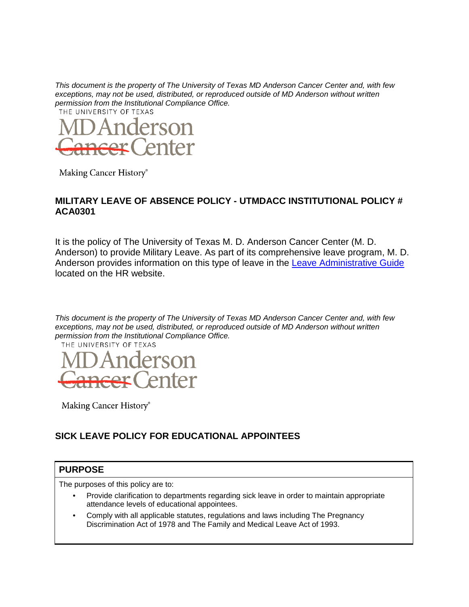

Making Cancer History®

#### **MILITARY LEAVE OF ABSENCE POLICY - UTMDACC INSTITUTIONAL POLICY # ACA0301**

It is the policy of The University of Texas M. D. Anderson Cancer Center (M. D. Anderson) to provide Military Leave. As part of its comprehensive leave program, M. D. Anderson provides information on this type of leave in the [Leave Administrative Guide](http://inside.mdanderson.org/human-resources/leave-time-off/community-service-leave/military-leave.html) located on the HR website.



Making Cancer History®

## **SICK LEAVE POLICY FOR EDUCATIONAL APPOINTEES**

## **PURPOSE**

The purposes of this policy are to:

- Provide clarification to departments regarding sick leave in order to maintain appropriate attendance levels of educational appointees.
- Comply with all applicable statutes, regulations and laws including The Pregnancy Discrimination Act of 1978 and The Family and Medical Leave Act of 1993.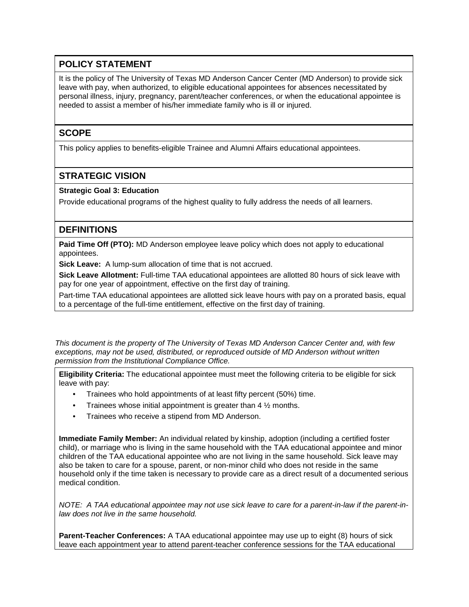## **POLICY STATEMENT**

It is the policy of The University of Texas MD Anderson Cancer Center (MD Anderson) to provide sick leave with pay, when authorized, to eligible educational appointees for absences necessitated by personal illness, injury, pregnancy, parent/teacher conferences, or when the educational appointee is needed to assist a member of his/her immediate family who is ill or injured.

## **SCOPE**

This policy applies to benefits-eligible Trainee and Alumni Affairs educational appointees.

## **STRATEGIC VISION**

#### **Strategic Goal 3: Education**

Provide educational programs of the highest quality to fully address the needs of all learners.

## **DEFINITIONS**

**Paid Time Off (PTO):** MD Anderson employee leave policy which does not apply to educational appointees.

**Sick Leave:** A lump-sum allocation of time that is not accrued.

**Sick Leave Allotment:** Full-time TAA educational appointees are allotted 80 hours of sick leave with pay for one year of appointment, effective on the first day of training.

Part-time TAA educational appointees are allotted sick leave hours with pay on a prorated basis, equal to a percentage of the full-time entitlement, effective on the first day of training.

*This document is the property of The University of Texas MD Anderson Cancer Center and, with few exceptions, may not be used, distributed, or reproduced outside of MD Anderson without written permission from the Institutional Compliance Office.* 

**Eligibility Criteria:** The educational appointee must meet the following criteria to be eligible for sick leave with pay:

- Trainees who hold appointments of at least fifty percent (50%) time.
- Trainees whose initial appointment is greater than  $4\frac{1}{2}$  months.
- Trainees who receive a stipend from MD Anderson.

**Immediate Family Member:** An individual related by kinship, adoption (including a certified foster child), or marriage who is living in the same household with the TAA educational appointee and minor children of the TAA educational appointee who are not living in the same household. Sick leave may also be taken to care for a spouse, parent, or non-minor child who does not reside in the same household only if the time taken is necessary to provide care as a direct result of a documented serious medical condition.

*NOTE: A TAA educational appointee may not use sick leave to care for a parent-in-law if the parent-inlaw does not live in the same household.* 

**Parent-Teacher Conferences:** A TAA educational appointee may use up to eight (8) hours of sick leave each appointment year to attend parent-teacher conference sessions for the TAA educational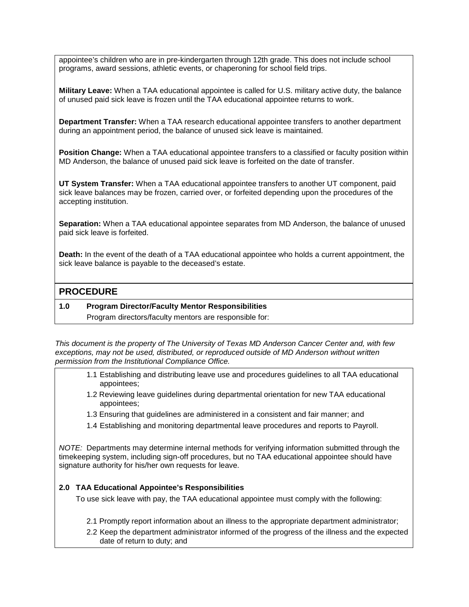appointee's children who are in pre-kindergarten through 12th grade. This does not include school programs, award sessions, athletic events, or chaperoning for school field trips.

**Military Leave:** When a TAA educational appointee is called for U.S. military active duty, the balance of unused paid sick leave is frozen until the TAA educational appointee returns to work.

**Department Transfer:** When a TAA research educational appointee transfers to another department during an appointment period, the balance of unused sick leave is maintained.

**Position Change:** When a TAA educational appointee transfers to a classified or faculty position within MD Anderson, the balance of unused paid sick leave is forfeited on the date of transfer.

**UT System Transfer:** When a TAA educational appointee transfers to another UT component, paid sick leave balances may be frozen, carried over, or forfeited depending upon the procedures of the accepting institution.

**Separation:** When a TAA educational appointee separates from MD Anderson, the balance of unused paid sick leave is forfeited.

**Death:** In the event of the death of a TAA educational appointee who holds a current appointment, the sick leave balance is payable to the deceased's estate.

#### **PROCEDURE**

#### **1.0 Program Director/Faculty Mentor Responsibilities**

Program directors/faculty mentors are responsible for:

*This document is the property of The University of Texas MD Anderson Cancer Center and, with few exceptions, may not be used, distributed, or reproduced outside of MD Anderson without written permission from the Institutional Compliance Office.* 

- 1.1 Establishing and distributing leave use and procedures guidelines to all TAA educational appointees;
- 1.2 Reviewing leave guidelines during departmental orientation for new TAA educational appointees;
- 1.3 Ensuring that guidelines are administered in a consistent and fair manner; and
- 1.4 Establishing and monitoring departmental leave procedures and reports to Payroll.

*NOTE:* Departments may determine internal methods for verifying information submitted through the timekeeping system, including sign-off procedures, but no TAA educational appointee should have signature authority for his/her own requests for leave.

#### **2.0 TAA Educational Appointee's Responsibilities**

To use sick leave with pay, the TAA educational appointee must comply with the following:

- 2.1 Promptly report information about an illness to the appropriate department administrator;
- 2.2 Keep the department administrator informed of the progress of the illness and the expected date of return to duty; and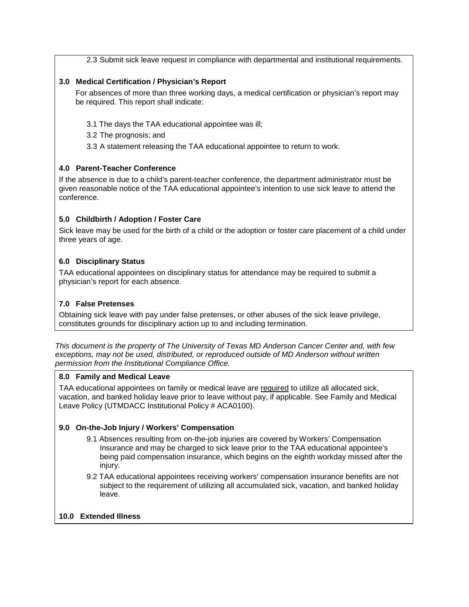2.3 Submit sick leave request in compliance with departmental and institutional requirements.

#### **3.0 Medical Certification / Physician's Report**

For absences of more than three working days, a medical certification or physician's report may be required. This report shall indicate:

- 3.1 The days the TAA educational appointee was ill;
- 3.2 The prognosis; and
- 3.3 A statement releasing the TAA educational appointee to return to work.

#### **4.0 Parent-Teacher Conference**

If the absence is due to a child's parent-teacher conference, the department administrator must be given reasonable notice of the TAA educational appointee's intention to use sick leave to attend the conference.

#### **5.0 Childbirth / Adoption / Foster Care**

Sick leave may be used for the birth of a child or the adoption or foster care placement of a child under three years of age.

#### **6.0 Disciplinary Status**

TAA educational appointees on disciplinary status for attendance may be required to submit a physician's report for each absence.

#### **7.0 False Pretenses**

Obtaining sick leave with pay under false pretenses, or other abuses of the sick leave privilege, constitutes grounds for disciplinary action up to and including termination.

*This document is the property of The University of Texas MD Anderson Cancer Center and, with few exceptions, may not be used, distributed, or reproduced outside of MD Anderson without written permission from the Institutional Compliance Office.*

#### **8.0 Family and Medical Leave**

TAA educational appointees on family or medical leave are required to utilize all allocated sick, vacation, and banked holiday leave prior to leave without pay, if applicable. See Family and Medical Leave Policy (UTMDACC Institutional Policy # ACA0100).

#### **9.0 On-the-Job Injury / Workers' Compensation**

- 9.1 Absences resulting from on-the-job injuries are covered by Workers' Compensation Insurance and may be charged to sick leave prior to the TAA educational appointee's being paid compensation insurance, which begins on the eighth workday missed after the injury.
- 9.2 TAA educational appointees receiving workers' compensation insurance benefits are not subject to the requirement of utilizing all accumulated sick, vacation, and banked holiday leave.

#### **10.0 Extended Illness**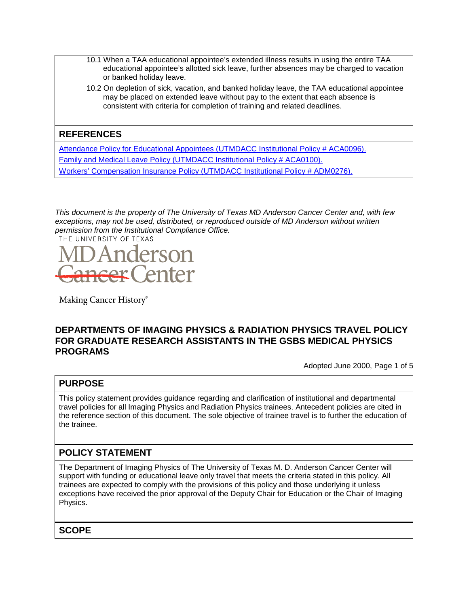- 10.1 When a TAA educational appointee's extended illness results in using the entire TAA educational appointee's allotted sick leave, further absences may be charged to vacation or banked holiday leave.
- 10.2 On depletion of sick, vacation, and banked holiday leave, the TAA educational appointee may be placed on extended leave without pay to the extent that each absence is consistent with criteria for completion of training and related deadlines.

## **REFERENCES**

[Attendance Policy for Educational Appointees \(UTMDACC Institutional Policy # ACA0096\).](http://inside3.mdanderson.org/apps/ipp/published/ipp/ACA0096.pdf) [Family and Medical Leave Policy \(UTMDACC Institutional Policy # ACA0100\).](http://inside3.mdanderson.org/apps/ipp/published/ipp/ACA0100.pdf) [Workers' Compensation Insurance Policy \(UTMDACC Institutional Policy # ADM0276\).](http://inside3.mdanderson.org/apps/ipp/published/ipp/ADM0276.pdf)

*This document is the property of The University of Texas MD Anderson Cancer Center and, with few exceptions, may not be used, distributed, or reproduced outside of MD Anderson without written permission from the Institutional Compliance Office.*



Making Cancer History®

#### **DEPARTMENTS OF IMAGING PHYSICS & RADIATION PHYSICS TRAVEL POLICY FOR GRADUATE RESEARCH ASSISTANTS IN THE GSBS MEDICAL PHYSICS PROGRAMS**

Adopted June 2000, Page 1 of 5

#### **PURPOSE**

This policy statement provides guidance regarding and clarification of institutional and departmental travel policies for all Imaging Physics and Radiation Physics trainees. Antecedent policies are cited in the reference section of this document. The sole objective of trainee travel is to further the education of the trainee.

## **POLICY STATEMENT**

The Department of Imaging Physics of The University of Texas M. D. Anderson Cancer Center will support with funding or educational leave only travel that meets the criteria stated in this policy. All trainees are expected to comply with the provisions of this policy and those underlying it unless exceptions have received the prior approval of the Deputy Chair for Education or the Chair of Imaging Physics.

**SCOPE**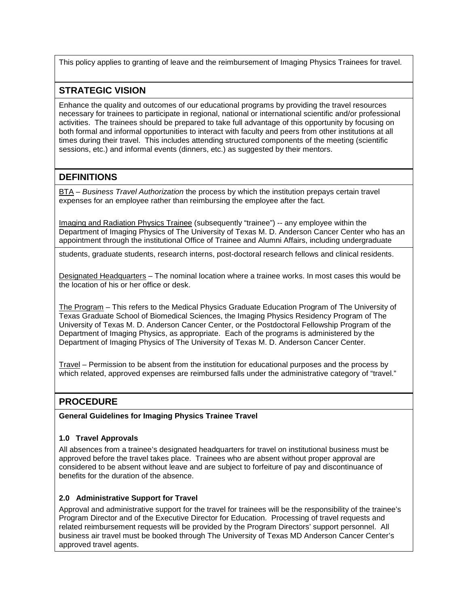This policy applies to granting of leave and the reimbursement of Imaging Physics Trainees for travel.

## **STRATEGIC VISION**

Enhance the quality and outcomes of our educational programs by providing the travel resources necessary for trainees to participate in regional, national or international scientific and/or professional activities. The trainees should be prepared to take full advantage of this opportunity by focusing on both formal and informal opportunities to interact with faculty and peers from other institutions at all times during their travel. This includes attending structured components of the meeting (scientific sessions, etc.) and informal events (dinners, etc.) as suggested by their mentors.

## **DEFINITIONS**

BTA – *Business Travel Authorization* the process by which the institution prepays certain travel expenses for an employee rather than reimbursing the employee after the fact.

Imaging and Radiation Physics Trainee (subsequently "trainee") -- any employee within the Department of Imaging Physics of The University of Texas M. D. Anderson Cancer Center who has an appointment through the institutional Office of Trainee and Alumni Affairs, including undergraduate

students, graduate students, research interns, post-doctoral research fellows and clinical residents.

Designated Headquarters – The nominal location where a trainee works. In most cases this would be the location of his or her office or desk.

The Program – This refers to the Medical Physics Graduate Education Program of The University of Texas Graduate School of Biomedical Sciences, the Imaging Physics Residency Program of The University of Texas M. D. Anderson Cancer Center, or the Postdoctoral Fellowship Program of the Department of Imaging Physics, as appropriate. Each of the programs is administered by the Department of Imaging Physics of The University of Texas M. D. Anderson Cancer Center.

Travel – Permission to be absent from the institution for educational purposes and the process by which related, approved expenses are reimbursed falls under the administrative category of "travel."

## **PROCEDURE**

**General Guidelines for Imaging Physics Trainee Travel**

#### **1.0 Travel Approvals**

All absences from a trainee's designated headquarters for travel on institutional business must be approved before the travel takes place. Trainees who are absent without proper approval are considered to be absent without leave and are subject to forfeiture of pay and discontinuance of benefits for the duration of the absence.

#### **2.0 Administrative Support for Travel**

Approval and administrative support for the travel for trainees will be the responsibility of the trainee's Program Director and of the Executive Director for Education. Processing of travel requests and related reimbursement requests will be provided by the Program Directors' support personnel. All business air travel must be booked through The University of Texas MD Anderson Cancer Center's approved travel agents.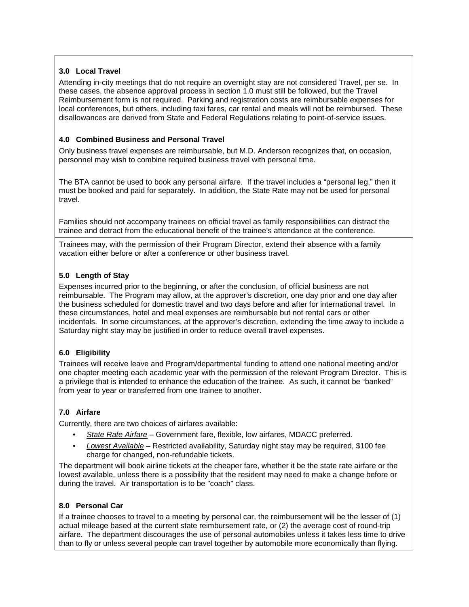#### **3.0 Local Travel**

Attending in-city meetings that do not require an overnight stay are not considered Travel, per se. In these cases, the absence approval process in section 1.0 must still be followed, but the Travel Reimbursement form is not required. Parking and registration costs are reimbursable expenses for local conferences, but others, including taxi fares, car rental and meals will not be reimbursed. These disallowances are derived from State and Federal Regulations relating to point-of-service issues.

#### **4.0 Combined Business and Personal Travel**

Only business travel expenses are reimbursable, but M.D. Anderson recognizes that, on occasion, personnel may wish to combine required business travel with personal time.

The BTA cannot be used to book any personal airfare. If the travel includes a "personal leg," then it must be booked and paid for separately. In addition, the State Rate may not be used for personal travel.

Families should not accompany trainees on official travel as family responsibilities can distract the trainee and detract from the educational benefit of the trainee's attendance at the conference.

Trainees may, with the permission of their Program Director, extend their absence with a family vacation either before or after a conference or other business travel.

#### **5.0 Length of Stay**

Expenses incurred prior to the beginning, or after the conclusion, of official business are not reimbursable. The Program may allow, at the approver's discretion, one day prior and one day after the business scheduled for domestic travel and two days before and after for international travel. In these circumstances, hotel and meal expenses are reimbursable but not rental cars or other incidentals. In some circumstances, at the approver's discretion, extending the time away to include a Saturday night stay may be justified in order to reduce overall travel expenses.

#### **6.0 Eligibility**

Trainees will receive leave and Program/departmental funding to attend one national meeting and/or one chapter meeting each academic year with the permission of the relevant Program Director. This is a privilege that is intended to enhance the education of the trainee. As such, it cannot be "banked" from year to year or transferred from one trainee to another.

#### **7.0 Airfare**

Currently, there are two choices of airfares available:

- *State Rate Airfare* Government fare, flexible, low airfares, MDACC preferred.
- *Lowest Available* Restricted availability, Saturday night stay may be required, \$100 fee charge for changed, non-refundable tickets.

The department will book airline tickets at the cheaper fare, whether it be the state rate airfare or the lowest available, unless there is a possibility that the resident may need to make a change before or during the travel. Air transportation is to be "coach" class.

#### **8.0 Personal Car**

If a trainee chooses to travel to a meeting by personal car, the reimbursement will be the lesser of (1) actual mileage based at the current state reimbursement rate, or (2) the average cost of round-trip airfare. The department discourages the use of personal automobiles unless it takes less time to drive than to fly or unless several people can travel together by automobile more economically than flying.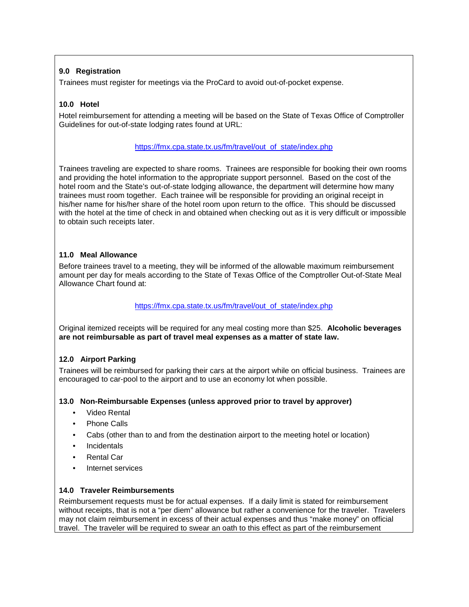#### **9.0 Registration**

Trainees must register for meetings via the ProCard to avoid out-of-pocket expense.

#### **10.0 Hotel**

Hotel reimbursement for attending a meeting will be based on the State of Texas Office of Comptroller Guidelines for out-of-state lodging rates found at URL:

#### [https://fmx.cpa.state.tx.us/fm/travel/out\\_of\\_state/index.php](https://fmx.cpa.state.tx.us/fm/travel/out_of_state/index.php)

Trainees traveling are expected to share rooms. Trainees are responsible for booking their own rooms and providing the hotel information to the appropriate support personnel. Based on the cost of the hotel room and the State's out-of-state lodging allowance, the department will determine how many trainees must room together. Each trainee will be responsible for providing an original receipt in his/her name for his/her share of the hotel room upon return to the office. This should be discussed with the hotel at the time of check in and obtained when checking out as it is very difficult or impossible to obtain such receipts later.

#### **11.0 Meal Allowance**

Before trainees travel to a meeting, they will be informed of the allowable maximum reimbursement amount per day for meals according to the State of Texas Office of the Comptroller Out-of-State Meal Allowance Chart found at:

#### [https://fmx.cpa.state.tx.us/fm/travel/out\\_of\\_state/index.php](https://fmx.cpa.state.tx.us/fm/travel/out_of_state/index.php)

Original itemized receipts will be required for any meal costing more than \$25. **Alcoholic beverages are not reimbursable as part of travel meal expenses as a matter of state law.**

#### **12.0 Airport Parking**

Trainees will be reimbursed for parking their cars at the airport while on official business. Trainees are encouraged to car-pool to the airport and to use an economy lot when possible.

#### **13.0 Non-Reimbursable Expenses (unless approved prior to travel by approver)**

- Video Rental
- Phone Calls
- Cabs (other than to and from the destination airport to the meeting hotel or location)
- Incidentals
- Rental Car
- Internet services

#### **14.0 Traveler Reimbursements**

Reimbursement requests must be for actual expenses. If a daily limit is stated for reimbursement without receipts, that is not a "per diem" allowance but rather a convenience for the traveler. Travelers may not claim reimbursement in excess of their actual expenses and thus "make money" on official travel. The traveler will be required to swear an oath to this effect as part of the reimbursement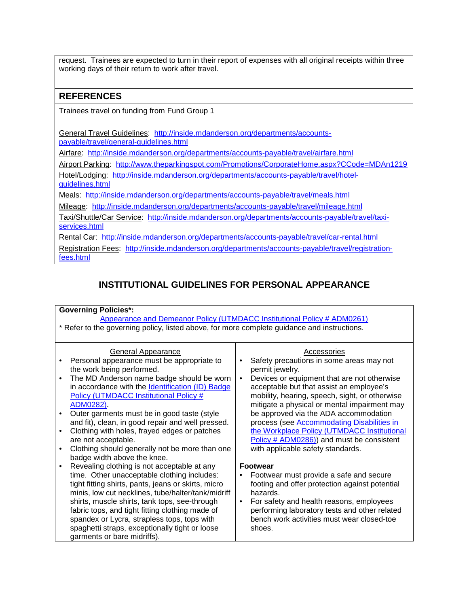request. Trainees are expected to turn in their report of expenses with all original receipts within three working days of their return to work after travel.

## **REFERENCES**

Trainees travel on funding from Fund Group 1

General Travel Guidelines: [http://inside.mdanderson.org/departments/accounts](http://inside.mdanderson.org/departments/accounts-payable/travel/general-guidelines.html)[payable/travel/general-guidelines.html](http://inside.mdanderson.org/departments/accounts-payable/travel/general-guidelines.html)

Airfare: <http://inside.mdanderson.org/departments/accounts-payable/travel/airfare.html>

Airport Parking: <http://www.theparkingspot.com/Promotions/CorporateHome.aspx?CCode=MDAn1219>

Hotel/Lodging: [http://inside.mdanderson.org/departments/accounts-payable/travel/hotel](http://inside.mdanderson.org/departments/accounts-payable/travel/hotel-guidelines.html)[guidelines.html](http://inside.mdanderson.org/departments/accounts-payable/travel/hotel-guidelines.html)

Meals: <http://inside.mdanderson.org/departments/accounts-payable/travel/meals.html>

Mileage: <http://inside.mdanderson.org/departments/accounts-payable/travel/mileage.html>

Taxi/Shuttle/Car Service: [http://inside.mdanderson.org/departments/accounts-payable/travel/taxi](http://inside.mdanderson.org/departments/accounts-payable/travel/taxi-services.html)[services.html](http://inside.mdanderson.org/departments/accounts-payable/travel/taxi-services.html)

Rental Car: <http://inside.mdanderson.org/departments/accounts-payable/travel/car-rental.html>

Registration Fees: [http://inside.mdanderson.org/departments/accounts-payable/travel/registration](http://inside.mdanderson.org/departments/accounts-payable/travel/registration-fees.html)[fees.html](http://inside.mdanderson.org/departments/accounts-payable/travel/registration-fees.html)

## **INSTITUTIONAL GUIDELINES FOR PERSONAL APPEARANCE**

#### **Governing Policies\*:** [Appearance and Demeanor Policy \(UTMDACC Institutional Policy # ADM0261\)](http://inside3.mdanderson.org/apps/ipp/published/ipp/CLN0540.pdf) \* Refer to the governing policy, listed above, for more complete guidance and instructions. General Appearance • Personal appearance must be appropriate to the work being performed. • The MD Anderson name badge should be worn in accordance with the [Identification \(ID\) Badge](http://inside3.mdanderson.org/apps/ipp/published/ipp/ADM0282.pdf)  [Policy \(UTMDACC Institutional Policy #](http://inside3.mdanderson.org/apps/ipp/published/ipp/ADM0282.pdf)  [ADM0282\).](http://inside3.mdanderson.org/apps/ipp/published/ipp/ADM0282.pdf) • Outer garments must be in good taste (style and fit), clean, in good repair and well pressed. • Clothing with holes, frayed edges or patches are not acceptable. • Clothing should generally not be more than one badge width above the knee. • Revealing clothing is not acceptable at any time. Other unacceptable clothing includes: tight fitting shirts, pants, jeans or skirts, micro minis, low cut necklines, tube/halter/tank/midriff shirts, muscle shirts, tank tops, see-through fabric tops, and tight fitting clothing made of spandex or Lycra, strapless tops, tops with spaghetti straps, exceptionally tight or loose garments or bare midriffs). **Accessories** • Safety precautions in some areas may not permit jewelry. • Devices or equipment that are not otherwise acceptable but that assist an employee's mobility, hearing, speech, sight, or otherwise mitigate a physical or mental impairment may be approved via the ADA accommodation process (see [Accommodating Disabilities in](http://inside3.mdanderson.org/apps/ipp/published/ipp/ADM0286.pdf)  [the Workplace Policy \(UTMDACC Institutional](http://inside3.mdanderson.org/apps/ipp/published/ipp/ADM0286.pdf)  [Policy # ADM0286\)\)](http://inside3.mdanderson.org/apps/ipp/published/ipp/ADM0286.pdf) and must be consistent with applicable safety standards. **Footwear** • Footwear must provide a safe and secure footing and offer protection against potential hazards. • For safety and health reasons, employees performing laboratory tests and other related bench work activities must wear closed-toe shoes.